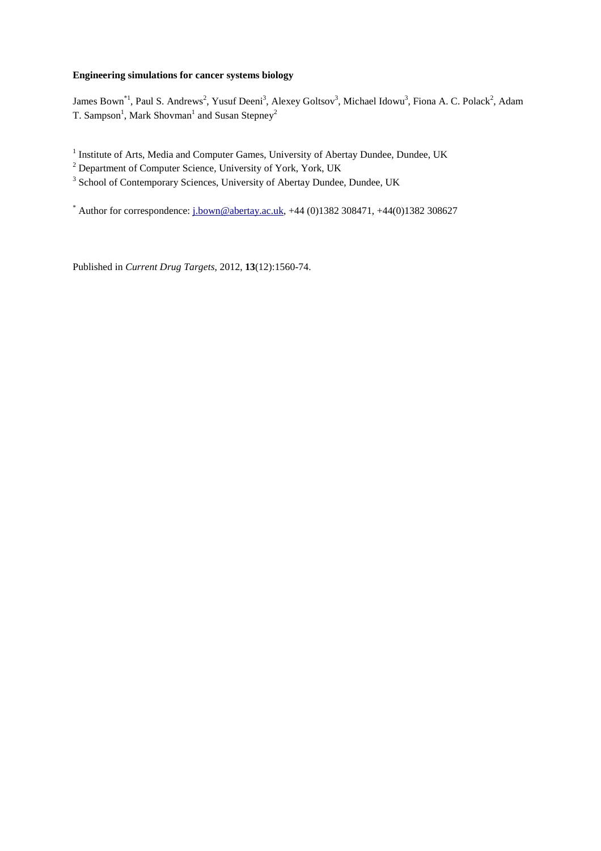# **Engineering simulations for cancer systems biology**

James Bown<sup>\*1</sup>, Paul S. Andrews<sup>2</sup>, Yusuf Deeni<sup>3</sup>, Alexey Goltsov<sup>3</sup>, Michael Idowu<sup>3</sup>, Fiona A. C. Polack<sup>2</sup>, Adam T. Sampson<sup>1</sup>, Mark Shovman<sup>1</sup> and Susan Stepney<sup>2</sup>

<sup>1</sup> Institute of Arts, Media and Computer Games, University of Abertay Dundee, Dundee, UK

<sup>2</sup> Department of Computer Science, University of York, York, UK

<sup>3</sup> School of Contemporary Sciences, University of Abertay Dundee, Dundee, UK

\* Author for correspondence:  $i_{\text{1}}$ bown@abertay.ac.uk, +44 (0)1382 308471, +44(0)1382 308627

Published in *Current Drug Targets*, 2012, **13**(12):1560-74.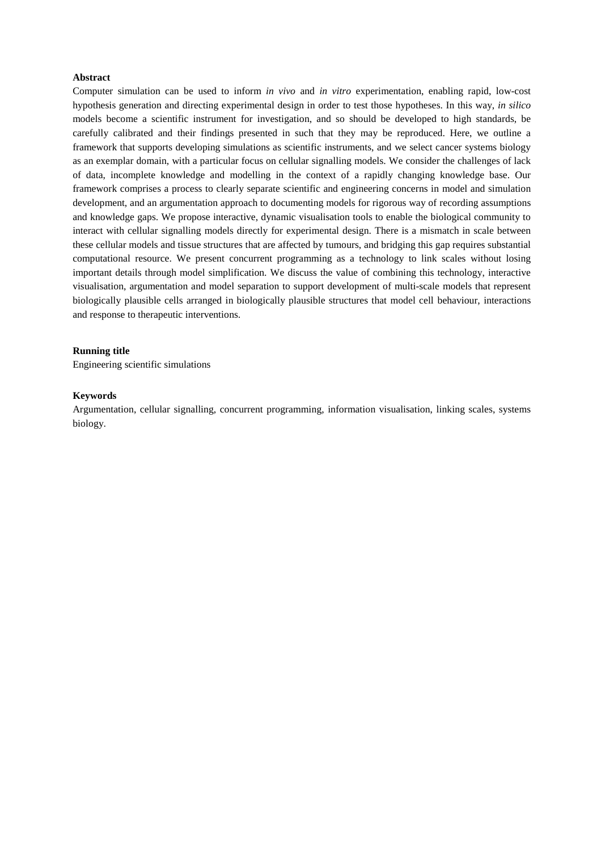# **Abstract**

Computer simulation can be used to inform *in vivo* and *in vitro* experimentation, enabling rapid, low-cost hypothesis generation and directing experimental design in order to test those hypotheses. In this way, *in silico* models become a scientific instrument for investigation, and so should be developed to high standards, be carefully calibrated and their findings presented in such that they may be reproduced. Here, we outline a framework that supports developing simulations as scientific instruments, and we select cancer systems biology as an exemplar domain, with a particular focus on cellular signalling models. We consider the challenges of lack of data, incomplete knowledge and modelling in the context of a rapidly changing knowledge base. Our framework comprises a process to clearly separate scientific and engineering concerns in model and simulation development, and an argumentation approach to documenting models for rigorous way of recording assumptions and knowledge gaps. We propose interactive, dynamic visualisation tools to enable the biological community to interact with cellular signalling models directly for experimental design. There is a mismatch in scale between these cellular models and tissue structures that are affected by tumours, and bridging this gap requires substantial computational resource. We present concurrent programming as a technology to link scales without losing important details through model simplification. We discuss the value of combining this technology, interactive visualisation, argumentation and model separation to support development of multi-scale models that represent biologically plausible cells arranged in biologically plausible structures that model cell behaviour, interactions and response to therapeutic interventions.

# **Running title**

Engineering scientific simulations

# **Keywords**

Argumentation, cellular signalling, concurrent programming, information visualisation, linking scales, systems biology.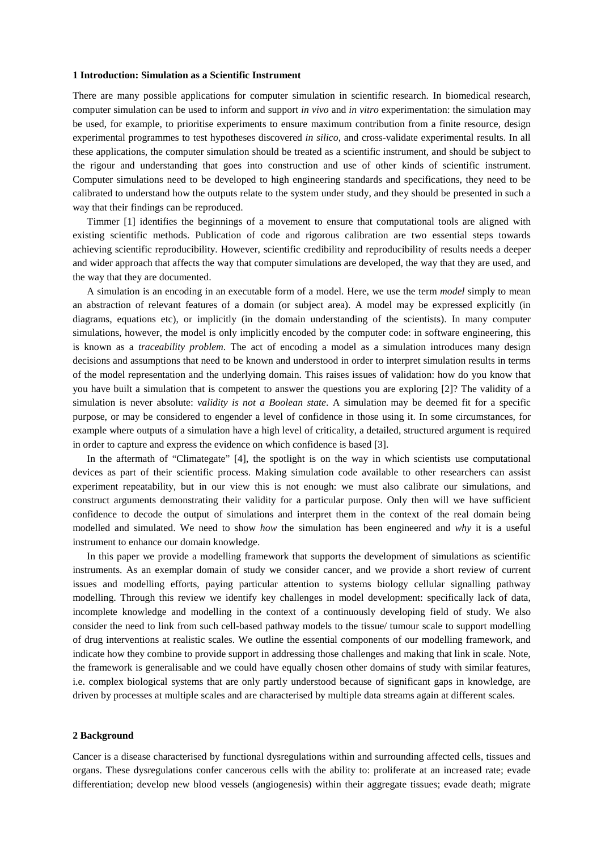#### **1 Introduction: Simulation as a Scientific Instrument**

There are many possible applications for computer simulation in scientific research. In biomedical research, computer simulation can be used to inform and support *in vivo* and *in vitro* experimentation: the simulation may be used, for example, to prioritise experiments to ensure maximum contribution from a finite resource, design experimental programmes to test hypotheses discovered *in silico*, and cross-validate experimental results. In all these applications, the computer simulation should be treated as a scientific instrument, and should be subject to the rigour and understanding that goes into construction and use of other kinds of scientific instrument. Computer simulations need to be developed to high engineering standards and specifications, they need to be calibrated to understand how the outputs relate to the system under study, and they should be presented in such a way that their findings can be reproduced.

Timmer [1] identifies the beginnings of a movement to ensure that computational tools are aligned with existing scientific methods. Publication of code and rigorous calibration are two essential steps towards achieving scientific reproducibility. However, scientific credibility and reproducibility of results needs a deeper and wider approach that affects the way that computer simulations are developed, the way that they are used, and the way that they are documented.

A simulation is an encoding in an executable form of a model. Here, we use the term *model* simply to mean an abstraction of relevant features of a domain (or subject area). A model may be expressed explicitly (in diagrams, equations etc), or implicitly (in the domain understanding of the scientists). In many computer simulations, however, the model is only implicitly encoded by the computer code: in software engineering, this is known as a *traceability problem*. The act of encoding a model as a simulation introduces many design decisions and assumptions that need to be known and understood in order to interpret simulation results in terms of the model representation and the underlying domain. This raises issues of validation: how do you know that you have built a simulation that is competent to answer the questions you are exploring [2]? The validity of a simulation is never absolute: *validity is not a Boolean state*. A simulation may be deemed fit for a specific purpose, or may be considered to engender a level of confidence in those using it. In some circumstances, for example where outputs of a simulation have a high level of criticality, a detailed, structured argument is required in order to capture and express the evidence on which confidence is based [3].

In the aftermath of "Climategate" [4], the spotlight is on the way in which scientists use computational devices as part of their scientific process. Making simulation code available to other researchers can assist experiment repeatability, but in our view this is not enough: we must also calibrate our simulations, and construct arguments demonstrating their validity for a particular purpose. Only then will we have sufficient confidence to decode the output of simulations and interpret them in the context of the real domain being modelled and simulated. We need to show *how* the simulation has been engineered and *why* it is a useful instrument to enhance our domain knowledge.

In this paper we provide a modelling framework that supports the development of simulations as scientific instruments. As an exemplar domain of study we consider cancer, and we provide a short review of current issues and modelling efforts, paying particular attention to systems biology cellular signalling pathway modelling. Through this review we identify key challenges in model development: specifically lack of data, incomplete knowledge and modelling in the context of a continuously developing field of study. We also consider the need to link from such cell-based pathway models to the tissue/ tumour scale to support modelling of drug interventions at realistic scales. We outline the essential components of our modelling framework, and indicate how they combine to provide support in addressing those challenges and making that link in scale. Note, the framework is generalisable and we could have equally chosen other domains of study with similar features, i.e. complex biological systems that are only partly understood because of significant gaps in knowledge, are driven by processes at multiple scales and are characterised by multiple data streams again at different scales.

# **2 Background**

Cancer is a disease characterised by functional dysregulations within and surrounding affected cells, tissues and organs. These dysregulations confer cancerous cells with the ability to: proliferate at an increased rate; evade differentiation; develop new blood vessels (angiogenesis) within their aggregate tissues; evade death; migrate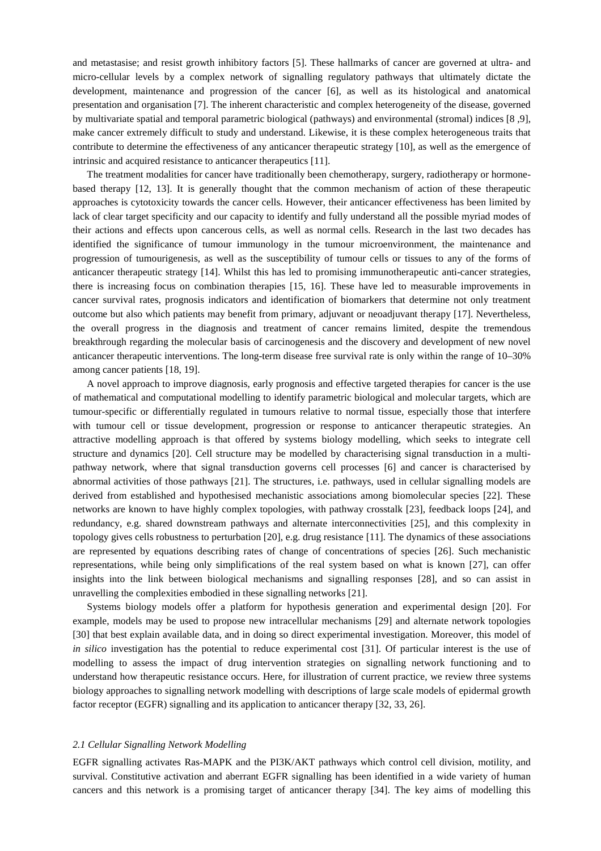and metastasise; and resist growth inhibitory factors [5]. These hallmarks of cancer are governed at ultra- and micro-cellular levels by a complex network of signalling regulatory pathways that ultimately dictate the development, maintenance and progression of the cancer [6], as well as its histological and anatomical presentation and organisation [7]. The inherent characteristic and complex heterogeneity of the disease, governed by multivariate spatial and temporal parametric biological (pathways) and environmental (stromal) indices [8 ,9], make cancer extremely difficult to study and understand. Likewise, it is these complex heterogeneous traits that contribute to determine the effectiveness of any anticancer therapeutic strategy [10], as well as the emergence of intrinsic and acquired resistance to anticancer therapeutics [11].

The treatment modalities for cancer have traditionally been chemotherapy, surgery, radiotherapy or hormonebased therapy [12, 13]. It is generally thought that the common mechanism of action of these therapeutic approaches is cytotoxicity towards the cancer cells. However, their anticancer effectiveness has been limited by lack of clear target specificity and our capacity to identify and fully understand all the possible myriad modes of their actions and effects upon cancerous cells, as well as normal cells. Research in the last two decades has identified the significance of tumour immunology in the tumour microenvironment, the maintenance and progression of tumourigenesis, as well as the susceptibility of tumour cells or tissues to any of the forms of anticancer therapeutic strategy [14]. Whilst this has led to promising immunotherapeutic anti-cancer strategies, there is increasing focus on combination therapies [15, 16]. These have led to measurable improvements in cancer survival rates, prognosis indicators and identification of biomarkers that determine not only treatment outcome but also which patients may benefit from primary, adjuvant or neoadjuvant therapy [17]. Nevertheless, the overall progress in the diagnosis and treatment of cancer remains limited, despite the tremendous breakthrough regarding the molecular basis of carcinogenesis and the discovery and development of new novel anticancer therapeutic interventions. The long-term disease free survival rate is only within the range of 10–30% among cancer patients [18, 19].

A novel approach to improve diagnosis, early prognosis and effective targeted therapies for cancer is the use of mathematical and computational modelling to identify parametric biological and molecular targets, which are tumour-specific or differentially regulated in tumours relative to normal tissue, especially those that interfere with tumour cell or tissue development, progression or response to anticancer therapeutic strategies. An attractive modelling approach is that offered by systems biology modelling, which seeks to integrate cell structure and dynamics [20]. Cell structure may be modelled by characterising signal transduction in a multipathway network, where that signal transduction governs cell processes [6] and cancer is characterised by abnormal activities of those pathways [21]. The structures, i.e. pathways, used in cellular signalling models are derived from established and hypothesised mechanistic associations among biomolecular species [22]. These networks are known to have highly complex topologies, with pathway crosstalk [23], feedback loops [24], and redundancy, e.g. shared downstream pathways and alternate interconnectivities [25], and this complexity in topology gives cells robustness to perturbation [20], e.g. drug resistance [11]. The dynamics of these associations are represented by equations describing rates of change of concentrations of species [26]. Such mechanistic representations, while being only simplifications of the real system based on what is known [27], can offer insights into the link between biological mechanisms and signalling responses [28], and so can assist in unravelling the complexities embodied in these signalling networks [21].

Systems biology models offer a platform for hypothesis generation and experimental design [20]. For example, models may be used to propose new intracellular mechanisms [29] and alternate network topologies [30] that best explain available data, and in doing so direct experimental investigation. Moreover, this model of *in silico* investigation has the potential to reduce experimental cost [31]. Of particular interest is the use of modelling to assess the impact of drug intervention strategies on signalling network functioning and to understand how therapeutic resistance occurs. Here, for illustration of current practice, we review three systems biology approaches to signalling network modelling with descriptions of large scale models of epidermal growth factor receptor (EGFR) signalling and its application to anticancer therapy [32, 33, 26].

# *2.1 Cellular Signalling Network Modelling*

EGFR signalling activates Ras-MAPK and the PI3K/AKT pathways which control cell division, motility, and survival. Constitutive activation and aberrant EGFR signalling has been identified in a wide variety of human cancers and this network is a promising target of anticancer therapy [34]. The key aims of modelling this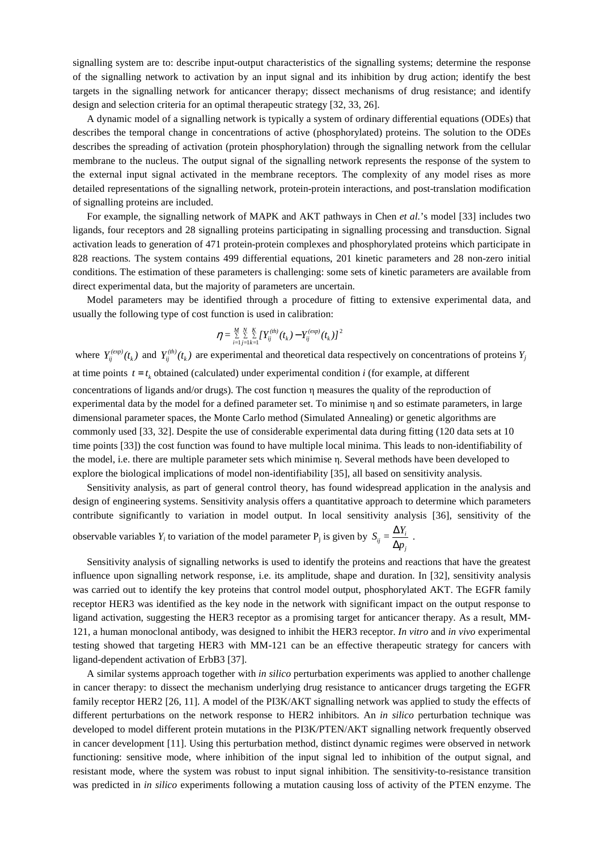signalling system are to: describe input-output characteristics of the signalling systems; determine the response of the signalling network to activation by an input signal and its inhibition by drug action; identify the best targets in the signalling network for anticancer therapy; dissect mechanisms of drug resistance; and identify design and selection criteria for an optimal therapeutic strategy [32, 33, 26].

A dynamic model of a signalling network is typically a system of ordinary differential equations (ODEs) that describes the temporal change in concentrations of active (phosphorylated) proteins. The solution to the ODEs describes the spreading of activation (protein phosphorylation) through the signalling network from the cellular membrane to the nucleus. The output signal of the signalling network represents the response of the system to the external input signal activated in the membrane receptors. The complexity of any model rises as more detailed representations of the signalling network, protein-protein interactions, and post-translation modification of signalling proteins are included.

For example, the signalling network of MAPK and AKT pathways in Chen *et al.*'s model [33] includes two ligands, four receptors and 28 signalling proteins participating in signalling processing and transduction. Signal activation leads to generation of 471 protein-protein complexes and phosphorylated proteins which participate in 828 reactions. The system contains 499 differential equations, 201 kinetic parameters and 28 non-zero initial conditions. The estimation of these parameters is challenging: some sets of kinetic parameters are available from direct experimental data, but the majority of parameters are uncertain.

Model parameters may be identified through a procedure of fitting to extensive experimental data, and usually the following type of cost function is used in calibration:

$$
\eta = \sum\limits_{i=1}^{M} \sum\limits_{j=1}^{N} \sum\limits_{k=1}^{K} \bigl[ Y_{ij}^{(th)}(t_k) - Y_{ij}^{(exp)}(t_k) \bigr]^2
$$

where  $Y_{ij}^{(exp)}(t_k)$  and  $Y_{ij}^{(th)}(t_k)$  are experimental and theoretical data respectively on concentrations of proteins  $Y_j$ at time points  $t = t_k$  obtained (calculated) under experimental condition *i* (for example, at different concentrations of ligands and/or drugs). The cost function η measures the quality of the reproduction of experimental data by the model for a defined parameter set. To minimise η and so estimate parameters, in large dimensional parameter spaces, the Monte Carlo method (Simulated Annealing) or genetic algorithms are commonly used [33, 32]. Despite the use of considerable experimental data during fitting (120 data sets at 10 time points [33]) the cost function was found to have multiple local minima. This leads to non-identifiability of the model, i.e. there are multiple parameter sets which minimise η. Several methods have been developed to explore the biological implications of model non-identifiability [35], all based on sensitivity analysis.

Sensitivity analysis, as part of general control theory, has found widespread application in the analysis and design of engineering systems. Sensitivity analysis offers a quantitative approach to determine which parameters contribute significantly to variation in model output. In local sensitivity analysis [36], sensitivity of the observable variables  $Y_i$  to variation of the model parameter  $P_j$  is given by  $S_{ij} = \frac{\Delta Y_i}{\Delta x_i}$ ∆*p<sup>j</sup>* .

Sensitivity analysis of signalling networks is used to identify the proteins and reactions that have the greatest influence upon signalling network response, i.e. its amplitude, shape and duration. In [32], sensitivity analysis was carried out to identify the key proteins that control model output, phosphorylated AKT. The EGFR family receptor HER3 was identified as the key node in the network with significant impact on the output response to ligand activation, suggesting the HER3 receptor as a promising target for anticancer therapy. As a result, MM-121, a human monoclonal antibody, was designed to inhibit the HER3 receptor. *In vitro* and *in vivo* experimental testing showed that targeting HER3 with MM-121 can be an effective therapeutic strategy for cancers with ligand-dependent activation of ErbB3 [37].

A similar systems approach together with *in silico* perturbation experiments was applied to another challenge in cancer therapy: to dissect the mechanism underlying drug resistance to anticancer drugs targeting the EGFR family receptor HER2 [26, 11]. A model of the PI3K/AKT signalling network was applied to study the effects of different perturbations on the network response to HER2 inhibitors. An *in silico* perturbation technique was developed to model different protein mutations in the PI3K/PTEN/AKT signalling network frequently observed in cancer development [11]. Using this perturbation method, distinct dynamic regimes were observed in network functioning: sensitive mode, where inhibition of the input signal led to inhibition of the output signal, and resistant mode, where the system was robust to input signal inhibition. The sensitivity-to-resistance transition was predicted in *in silico* experiments following a mutation causing loss of activity of the PTEN enzyme. The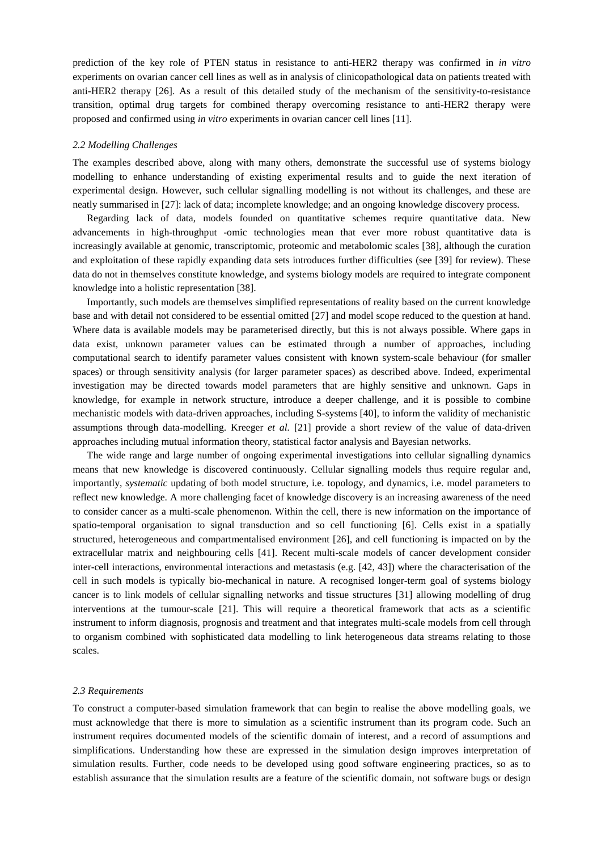prediction of the key role of PTEN status in resistance to anti-HER2 therapy was confirmed in *in vitro* experiments on ovarian cancer cell lines as well as in analysis of clinicopathological data on patients treated with anti-HER2 therapy [26]. As a result of this detailed study of the mechanism of the sensitivity-to-resistance transition, optimal drug targets for combined therapy overcoming resistance to anti-HER2 therapy were proposed and confirmed using *in vitro* experiments in ovarian cancer cell lines [11].

### *2.2 Modelling Challenges*

The examples described above, along with many others, demonstrate the successful use of systems biology modelling to enhance understanding of existing experimental results and to guide the next iteration of experimental design. However, such cellular signalling modelling is not without its challenges, and these are neatly summarised in [27]: lack of data; incomplete knowledge; and an ongoing knowledge discovery process.

Regarding lack of data, models founded on quantitative schemes require quantitative data. New advancements in high-throughput -omic technologies mean that ever more robust quantitative data is increasingly available at genomic, transcriptomic, proteomic and metabolomic scales [38], although the curation and exploitation of these rapidly expanding data sets introduces further difficulties (see [39] for review). These data do not in themselves constitute knowledge, and systems biology models are required to integrate component knowledge into a holistic representation [38].

Importantly, such models are themselves simplified representations of reality based on the current knowledge base and with detail not considered to be essential omitted [27] and model scope reduced to the question at hand. Where data is available models may be parameterised directly, but this is not always possible. Where gaps in data exist, unknown parameter values can be estimated through a number of approaches, including computational search to identify parameter values consistent with known system-scale behaviour (for smaller spaces) or through sensitivity analysis (for larger parameter spaces) as described above. Indeed, experimental investigation may be directed towards model parameters that are highly sensitive and unknown. Gaps in knowledge, for example in network structure, introduce a deeper challenge, and it is possible to combine mechanistic models with data-driven approaches, including S-systems [40], to inform the validity of mechanistic assumptions through data-modelling. Kreeger *et al.* [21] provide a short review of the value of data-driven approaches including mutual information theory, statistical factor analysis and Bayesian networks.

The wide range and large number of ongoing experimental investigations into cellular signalling dynamics means that new knowledge is discovered continuously. Cellular signalling models thus require regular and, importantly, *systematic* updating of both model structure, i.e. topology, and dynamics, i.e. model parameters to reflect new knowledge. A more challenging facet of knowledge discovery is an increasing awareness of the need to consider cancer as a multi-scale phenomenon. Within the cell, there is new information on the importance of spatio-temporal organisation to signal transduction and so cell functioning [6]. Cells exist in a spatially structured, heterogeneous and compartmentalised environment [26], and cell functioning is impacted on by the extracellular matrix and neighbouring cells [41]. Recent multi-scale models of cancer development consider inter-cell interactions, environmental interactions and metastasis (e.g. [42, 43]) where the characterisation of the cell in such models is typically bio-mechanical in nature. A recognised longer-term goal of systems biology cancer is to link models of cellular signalling networks and tissue structures [31] allowing modelling of drug interventions at the tumour-scale [21]. This will require a theoretical framework that acts as a scientific instrument to inform diagnosis, prognosis and treatment and that integrates multi-scale models from cell through to organism combined with sophisticated data modelling to link heterogeneous data streams relating to those scales.

# *2.3 Requirements*

To construct a computer-based simulation framework that can begin to realise the above modelling goals, we must acknowledge that there is more to simulation as a scientific instrument than its program code. Such an instrument requires documented models of the scientific domain of interest, and a record of assumptions and simplifications. Understanding how these are expressed in the simulation design improves interpretation of simulation results. Further, code needs to be developed using good software engineering practices, so as to establish assurance that the simulation results are a feature of the scientific domain, not software bugs or design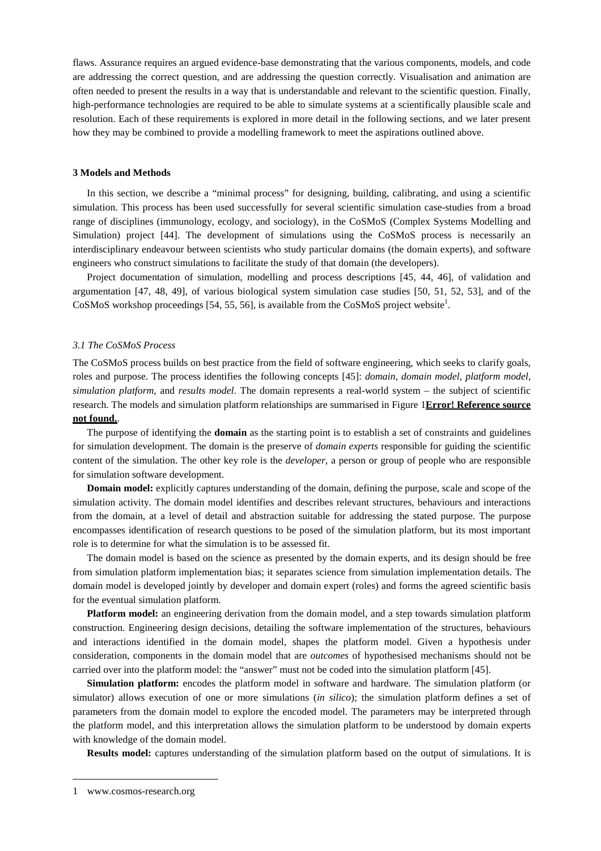flaws. Assurance requires an argued evidence-base demonstrating that the various components, models, and code are addressing the correct question, and are addressing the question correctly. Visualisation and animation are often needed to present the results in a way that is understandable and relevant to the scientific question. Finally, high-performance technologies are required to be able to simulate systems at a scientifically plausible scale and resolution. Each of these requirements is explored in more detail in the following sections, and we later present how they may be combined to provide a modelling framework to meet the aspirations outlined above.

# **3 Models and Methods**

In this section, we describe a "minimal process" for designing, building, calibrating, and using a scientific simulation. This process has been used successfully for several scientific simulation case-studies from a broad range of disciplines (immunology, ecology, and sociology), in the CoSMoS (Complex Systems Modelling and Simulation) project [44]. The development of simulations using the CoSMoS process is necessarily an interdisciplinary endeavour between scientists who study particular domains (the domain experts), and software engineers who construct simulations to facilitate the study of that domain (the developers).

Project documentation of simulation, modelling and process descriptions [45, 44, 46], of validation and argumentation [47, 48, 49], of various biological system simulation case studies [50, 51, 52, 53], and of the CoSMoS workshop proceedings [54, 55, 56], is available from the CoSMoS project website<sup>1</sup>.

#### *3.1 The CoSMoS Process*

The CoSMoS process builds on best practice from the field of software engineering, which seeks to clarify goals, roles and purpose. The process identifies the following concepts [45]: *domain*, *domain model*, *platform model*, *simulation platform*, and *results model*. The domain represents a real-world system – the subject of scientific research. The models and simulation platform relationships are summarised in Figure 1**Error! Reference source not found.**.

The purpose of identifying the **domain** as the starting point is to establish a set of constraints and guidelines for simulation development. The domain is the preserve of *domain experts* responsible for guiding the scientific content of the simulation. The other key role is the *developer*, a person or group of people who are responsible for simulation software development.

**Domain model:** explicitly captures understanding of the domain, defining the purpose, scale and scope of the simulation activity. The domain model identifies and describes relevant structures, behaviours and interactions from the domain, at a level of detail and abstraction suitable for addressing the stated purpose. The purpose encompasses identification of research questions to be posed of the simulation platform, but its most important role is to determine for what the simulation is to be assessed fit.

The domain model is based on the science as presented by the domain experts, and its design should be free from simulation platform implementation bias; it separates science from simulation implementation details. The domain model is developed jointly by developer and domain expert (roles) and forms the agreed scientific basis for the eventual simulation platform.

**Platform model:** an engineering derivation from the domain model, and a step towards simulation platform construction. Engineering design decisions, detailing the software implementation of the structures, behaviours and interactions identified in the domain model, shapes the platform model. Given a hypothesis under consideration, components in the domain model that are *outcomes* of hypothesised mechanisms should not be carried over into the platform model: the "answer" must not be coded into the simulation platform [45].

**Simulation platform:** encodes the platform model in software and hardware. The simulation platform (or simulator) allows execution of one or more simulations (*in silico*); the simulation platform defines a set of parameters from the domain model to explore the encoded model. The parameters may be interpreted through the platform model, and this interpretation allows the simulation platform to be understood by domain experts with knowledge of the domain model.

**Results model:** captures understanding of the simulation platform based on the output of simulations. It is

 $\overline{a}$ 

<sup>1</sup> www.cosmos-research.org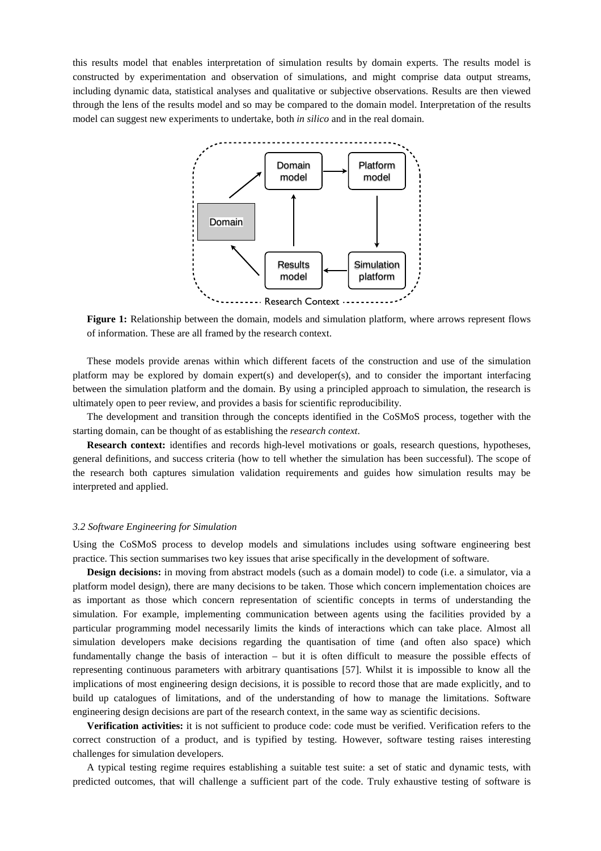this results model that enables interpretation of simulation results by domain experts. The results model is constructed by experimentation and observation of simulations, and might comprise data output streams, including dynamic data, statistical analyses and qualitative or subjective observations. Results are then viewed through the lens of the results model and so may be compared to the domain model. Interpretation of the results model can suggest new experiments to undertake, both *in silico* and in the real domain.



**Figure 1:** Relationship between the domain, models and simulation platform, where arrows represent flows of information. These are all framed by the research context.

These models provide arenas within which different facets of the construction and use of the simulation platform may be explored by domain expert(s) and developer(s), and to consider the important interfacing between the simulation platform and the domain. By using a principled approach to simulation, the research is ultimately open to peer review, and provides a basis for scientific reproducibility.

The development and transition through the concepts identified in the CoSMoS process, together with the starting domain, can be thought of as establishing the *research context*.

**Research context:** identifies and records high-level motivations or goals, research questions, hypotheses, general definitions, and success criteria (how to tell whether the simulation has been successful). The scope of the research both captures simulation validation requirements and guides how simulation results may be interpreted and applied.

#### *3.2 Software Engineering for Simulation*

Using the CoSMoS process to develop models and simulations includes using software engineering best practice. This section summarises two key issues that arise specifically in the development of software.

**Design decisions:** in moving from abstract models (such as a domain model) to code (i.e. a simulator, via a platform model design), there are many decisions to be taken. Those which concern implementation choices are as important as those which concern representation of scientific concepts in terms of understanding the simulation. For example, implementing communication between agents using the facilities provided by a particular programming model necessarily limits the kinds of interactions which can take place. Almost all simulation developers make decisions regarding the quantisation of time (and often also space) which fundamentally change the basis of interaction – but it is often difficult to measure the possible effects of representing continuous parameters with arbitrary quantisations [57]. Whilst it is impossible to know all the implications of most engineering design decisions, it is possible to record those that are made explicitly, and to build up catalogues of limitations, and of the understanding of how to manage the limitations. Software engineering design decisions are part of the research context, in the same way as scientific decisions.

**Verification activities:** it is not sufficient to produce code: code must be verified. Verification refers to the correct construction of a product, and is typified by testing. However, software testing raises interesting challenges for simulation developers.

A typical testing regime requires establishing a suitable test suite: a set of static and dynamic tests, with predicted outcomes, that will challenge a sufficient part of the code. Truly exhaustive testing of software is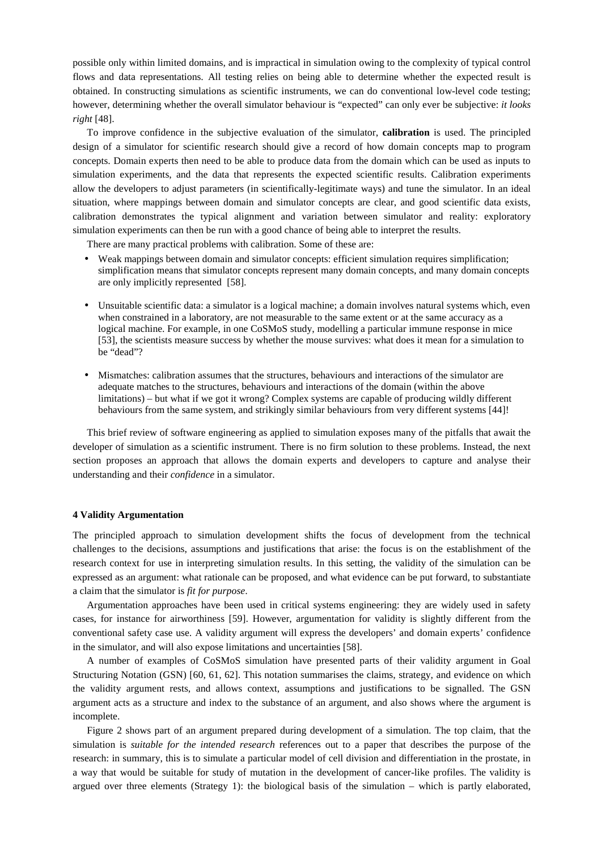possible only within limited domains, and is impractical in simulation owing to the complexity of typical control flows and data representations. All testing relies on being able to determine whether the expected result is obtained. In constructing simulations as scientific instruments, we can do conventional low-level code testing; however, determining whether the overall simulator behaviour is "expected" can only ever be subjective: *it looks right* [48].

To improve confidence in the subjective evaluation of the simulator, **calibration** is used. The principled design of a simulator for scientific research should give a record of how domain concepts map to program concepts. Domain experts then need to be able to produce data from the domain which can be used as inputs to simulation experiments, and the data that represents the expected scientific results. Calibration experiments allow the developers to adjust parameters (in scientifically-legitimate ways) and tune the simulator. In an ideal situation, where mappings between domain and simulator concepts are clear, and good scientific data exists, calibration demonstrates the typical alignment and variation between simulator and reality: exploratory simulation experiments can then be run with a good chance of being able to interpret the results.

There are many practical problems with calibration. Some of these are:

- Weak mappings between domain and simulator concepts: efficient simulation requires simplification; simplification means that simulator concepts represent many domain concepts, and many domain concepts are only implicitly represented [58].
- Unsuitable scientific data: a simulator is a logical machine; a domain involves natural systems which, even when constrained in a laboratory, are not measurable to the same extent or at the same accuracy as a logical machine. For example, in one CoSMoS study, modelling a particular immune response in mice [53], the scientists measure success by whether the mouse survives: what does it mean for a simulation to be "dead"?
- Mismatches: calibration assumes that the structures, behaviours and interactions of the simulator are adequate matches to the structures, behaviours and interactions of the domain (within the above limitations) – but what if we got it wrong? Complex systems are capable of producing wildly different behaviours from the same system, and strikingly similar behaviours from very different systems [44]!

This brief review of software engineering as applied to simulation exposes many of the pitfalls that await the developer of simulation as a scientific instrument. There is no firm solution to these problems. Instead, the next section proposes an approach that allows the domain experts and developers to capture and analyse their understanding and their *confidence* in a simulator.

# **4 Validity Argumentation**

The principled approach to simulation development shifts the focus of development from the technical challenges to the decisions, assumptions and justifications that arise: the focus is on the establishment of the research context for use in interpreting simulation results. In this setting, the validity of the simulation can be expressed as an argument: what rationale can be proposed, and what evidence can be put forward, to substantiate a claim that the simulator is *fit for purpose*.

Argumentation approaches have been used in critical systems engineering: they are widely used in safety cases, for instance for airworthiness [59]. However, argumentation for validity is slightly different from the conventional safety case use. A validity argument will express the developers' and domain experts' confidence in the simulator, and will also expose limitations and uncertainties [58].

A number of examples of CoSMoS simulation have presented parts of their validity argument in Goal Structuring Notation (GSN) [60, 61, 62]. This notation summarises the claims, strategy, and evidence on which the validity argument rests, and allows context, assumptions and justifications to be signalled. The GSN argument acts as a structure and index to the substance of an argument, and also shows where the argument is incomplete.

Figure 2 shows part of an argument prepared during development of a simulation. The top claim, that the simulation is *suitable for the intended research* references out to a paper that describes the purpose of the research: in summary, this is to simulate a particular model of cell division and differentiation in the prostate, in a way that would be suitable for study of mutation in the development of cancer-like profiles. The validity is argued over three elements (Strategy 1): the biological basis of the simulation – which is partly elaborated,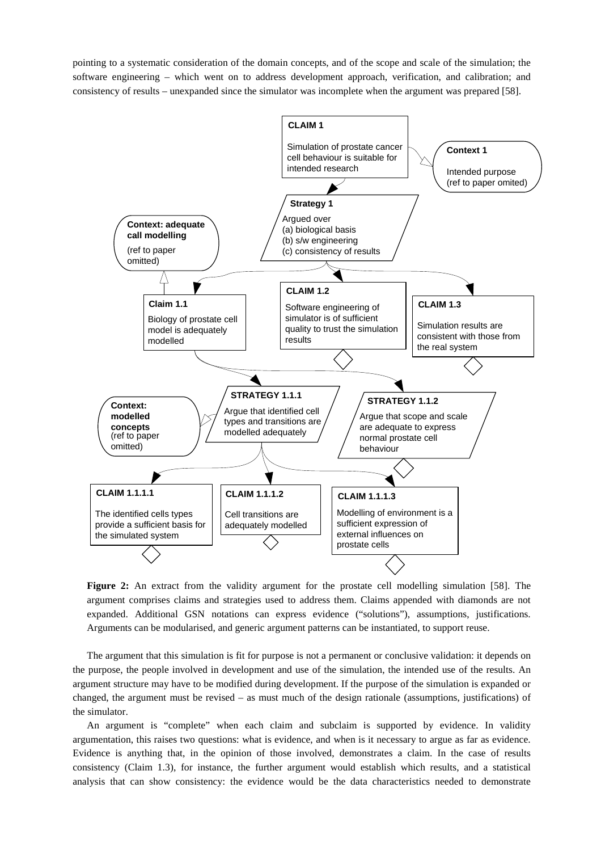pointing to a systematic consideration of the domain concepts, and of the scope and scale of the simulation; the software engineering – which went on to address development approach, verification, and calibration; and consistency of results – unexpanded since the simulator was incomplete when the argument was prepared [58].



**Figure 2:** An extract from the validity argument for the prostate cell modelling simulation [58]. The argument comprises claims and strategies used to address them. Claims appended with diamonds are not expanded. Additional GSN notations can express evidence ("solutions"), assumptions, justifications. Arguments can be modularised, and generic argument patterns can be instantiated, to support reuse.

The argument that this simulation is fit for purpose is not a permanent or conclusive validation: it depends on the purpose, the people involved in development and use of the simulation, the intended use of the results. An argument structure may have to be modified during development. If the purpose of the simulation is expanded or changed, the argument must be revised – as must much of the design rationale (assumptions, justifications) of the simulator.

An argument is "complete" when each claim and subclaim is supported by evidence. In validity argumentation, this raises two questions: what is evidence, and when is it necessary to argue as far as evidence. Evidence is anything that, in the opinion of those involved, demonstrates a claim. In the case of results consistency (Claim 1.3), for instance, the further argument would establish which results, and a statistical analysis that can show consistency: the evidence would be the data characteristics needed to demonstrate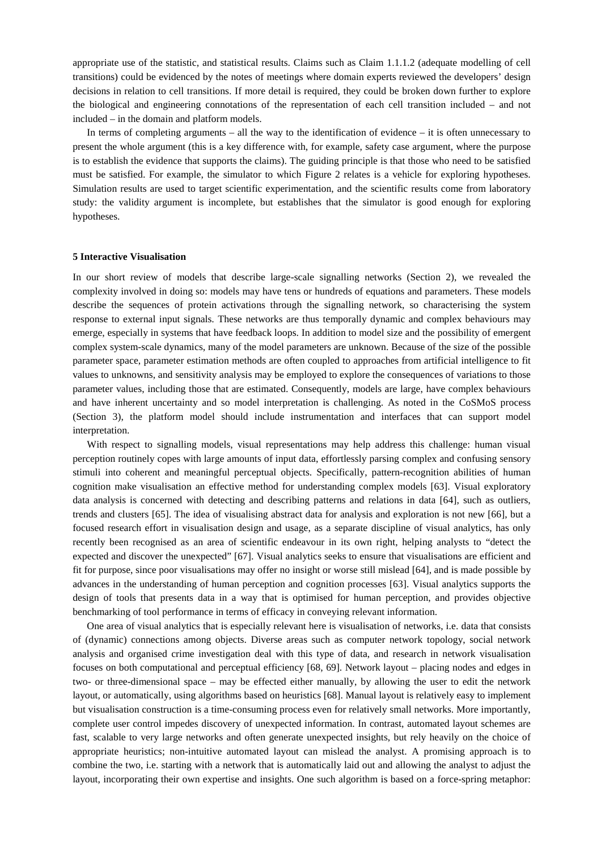appropriate use of the statistic, and statistical results. Claims such as Claim 1.1.1.2 (adequate modelling of cell transitions) could be evidenced by the notes of meetings where domain experts reviewed the developers' design decisions in relation to cell transitions. If more detail is required, they could be broken down further to explore the biological and engineering connotations of the representation of each cell transition included – and not included – in the domain and platform models.

In terms of completing arguments – all the way to the identification of evidence – it is often unnecessary to present the whole argument (this is a key difference with, for example, safety case argument, where the purpose is to establish the evidence that supports the claims). The guiding principle is that those who need to be satisfied must be satisfied. For example, the simulator to which Figure 2 relates is a vehicle for exploring hypotheses. Simulation results are used to target scientific experimentation, and the scientific results come from laboratory study: the validity argument is incomplete, but establishes that the simulator is good enough for exploring hypotheses.

### **5 Interactive Visualisation**

In our short review of models that describe large-scale signalling networks (Section 2), we revealed the complexity involved in doing so: models may have tens or hundreds of equations and parameters. These models describe the sequences of protein activations through the signalling network, so characterising the system response to external input signals. These networks are thus temporally dynamic and complex behaviours may emerge, especially in systems that have feedback loops. In addition to model size and the possibility of emergent complex system-scale dynamics, many of the model parameters are unknown. Because of the size of the possible parameter space, parameter estimation methods are often coupled to approaches from artificial intelligence to fit values to unknowns, and sensitivity analysis may be employed to explore the consequences of variations to those parameter values, including those that are estimated. Consequently, models are large, have complex behaviours and have inherent uncertainty and so model interpretation is challenging. As noted in the CoSMoS process (Section 3), the platform model should include instrumentation and interfaces that can support model interpretation.

With respect to signalling models, visual representations may help address this challenge: human visual perception routinely copes with large amounts of input data, effortlessly parsing complex and confusing sensory stimuli into coherent and meaningful perceptual objects. Specifically, pattern-recognition abilities of human cognition make visualisation an effective method for understanding complex models [63]. Visual exploratory data analysis is concerned with detecting and describing patterns and relations in data [64], such as outliers, trends and clusters [65]. The idea of visualising abstract data for analysis and exploration is not new [66], but a focused research effort in visualisation design and usage, as a separate discipline of visual analytics, has only recently been recognised as an area of scientific endeavour in its own right, helping analysts to "detect the expected and discover the unexpected" [67]. Visual analytics seeks to ensure that visualisations are efficient and fit for purpose, since poor visualisations may offer no insight or worse still mislead [64], and is made possible by advances in the understanding of human perception and cognition processes [63]. Visual analytics supports the design of tools that presents data in a way that is optimised for human perception, and provides objective benchmarking of tool performance in terms of efficacy in conveying relevant information.

One area of visual analytics that is especially relevant here is visualisation of networks, i.e. data that consists of (dynamic) connections among objects. Diverse areas such as computer network topology, social network analysis and organised crime investigation deal with this type of data, and research in network visualisation focuses on both computational and perceptual efficiency [68, 69]. Network layout – placing nodes and edges in two- or three-dimensional space – may be effected either manually, by allowing the user to edit the network layout, or automatically, using algorithms based on heuristics [68]. Manual layout is relatively easy to implement but visualisation construction is a time-consuming process even for relatively small networks. More importantly, complete user control impedes discovery of unexpected information. In contrast, automated layout schemes are fast, scalable to very large networks and often generate unexpected insights, but rely heavily on the choice of appropriate heuristics; non-intuitive automated layout can mislead the analyst. A promising approach is to combine the two, i.e. starting with a network that is automatically laid out and allowing the analyst to adjust the layout, incorporating their own expertise and insights. One such algorithm is based on a force-spring metaphor: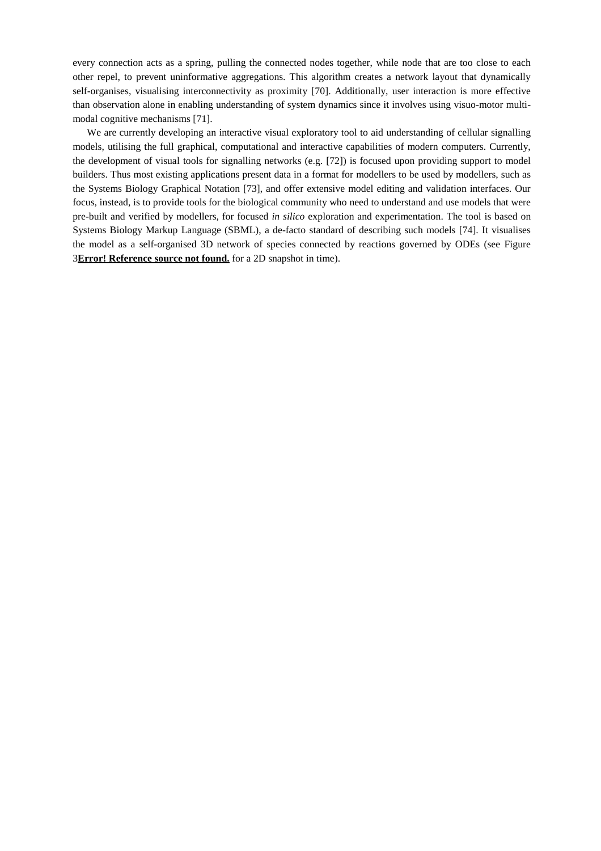every connection acts as a spring, pulling the connected nodes together, while node that are too close to each other repel, to prevent uninformative aggregations. This algorithm creates a network layout that dynamically self-organises, visualising interconnectivity as proximity [70]. Additionally, user interaction is more effective than observation alone in enabling understanding of system dynamics since it involves using visuo-motor multimodal cognitive mechanisms [71].

We are currently developing an interactive visual exploratory tool to aid understanding of cellular signalling models, utilising the full graphical, computational and interactive capabilities of modern computers. Currently, the development of visual tools for signalling networks (e.g. [72]) is focused upon providing support to model builders. Thus most existing applications present data in a format for modellers to be used by modellers, such as the Systems Biology Graphical Notation [73], and offer extensive model editing and validation interfaces. Our focus, instead, is to provide tools for the biological community who need to understand and use models that were pre-built and verified by modellers, for focused *in silico* exploration and experimentation. The tool is based on Systems Biology Markup Language (SBML), a de-facto standard of describing such models [74]. It visualises the model as a self-organised 3D network of species connected by reactions governed by ODEs (see Figure 3**Error! Reference source not found.** for a 2D snapshot in time).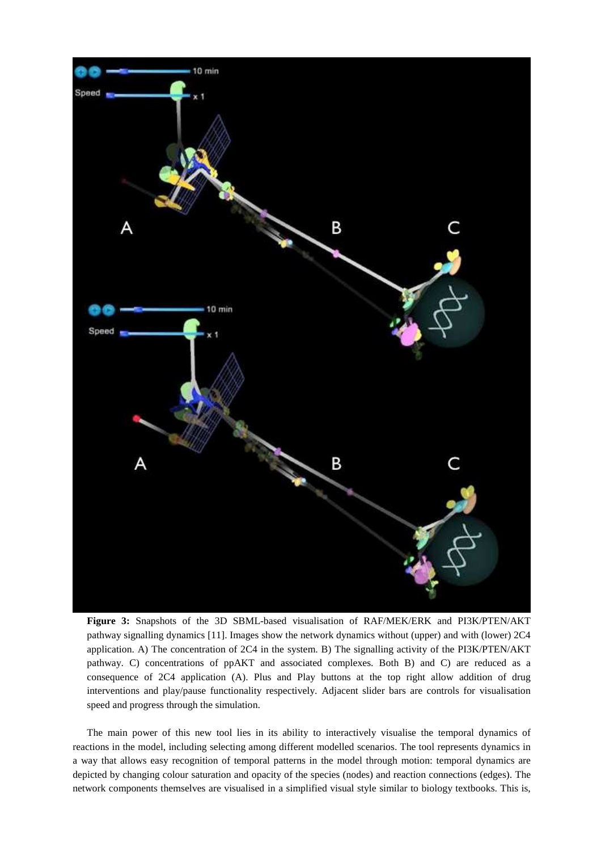

**Figure 3:** Snapshots of the 3D SBML-based visualisation of RAF/MEK/ERK and PI3K/PTEN/AKT pathway signalling dynamics [11]. Images show the network dynamics without (upper) and with (lower) 2C4 application. A) The concentration of 2C4 in the system. B) The signalling activity of the PI3K/PTEN/AKT pathway. C) concentrations of ppAKT and associated complexes. Both B) and C) are reduced as a consequence of 2C4 application (A). Plus and Play buttons at the top right allow addition of drug interventions and play/pause functionality respectively. Adjacent slider bars are controls for visualisation speed and progress through the simulation.

The main power of this new tool lies in its ability to interactively visualise the temporal dynamics of reactions in the model, including selecting among different modelled scenarios. The tool represents dynamics in a way that allows easy recognition of temporal patterns in the model through motion: temporal dynamics are depicted by changing colour saturation and opacity of the species (nodes) and reaction connections (edges). The network components themselves are visualised in a simplified visual style similar to biology textbooks. This is,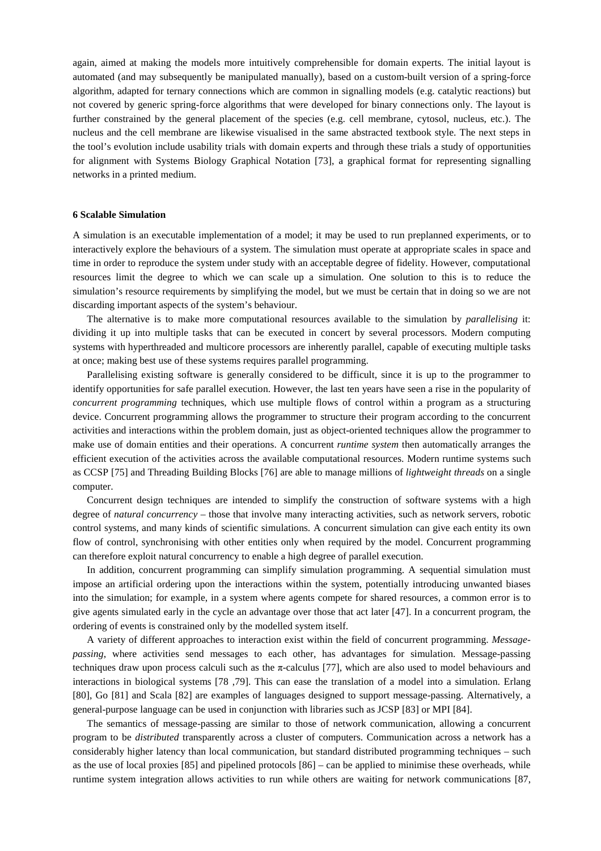again, aimed at making the models more intuitively comprehensible for domain experts. The initial layout is automated (and may subsequently be manipulated manually), based on a custom-built version of a spring-force algorithm, adapted for ternary connections which are common in signalling models (e.g. catalytic reactions) but not covered by generic spring-force algorithms that were developed for binary connections only. The layout is further constrained by the general placement of the species (e.g. cell membrane, cytosol, nucleus, etc.). The nucleus and the cell membrane are likewise visualised in the same abstracted textbook style. The next steps in the tool's evolution include usability trials with domain experts and through these trials a study of opportunities for alignment with Systems Biology Graphical Notation [73], a graphical format for representing signalling networks in a printed medium.

### **6 Scalable Simulation**

A simulation is an executable implementation of a model; it may be used to run preplanned experiments, or to interactively explore the behaviours of a system. The simulation must operate at appropriate scales in space and time in order to reproduce the system under study with an acceptable degree of fidelity. However, computational resources limit the degree to which we can scale up a simulation. One solution to this is to reduce the simulation's resource requirements by simplifying the model, but we must be certain that in doing so we are not discarding important aspects of the system's behaviour.

The alternative is to make more computational resources available to the simulation by *parallelising* it: dividing it up into multiple tasks that can be executed in concert by several processors. Modern computing systems with hyperthreaded and multicore processors are inherently parallel, capable of executing multiple tasks at once; making best use of these systems requires parallel programming.

Parallelising existing software is generally considered to be difficult, since it is up to the programmer to identify opportunities for safe parallel execution. However, the last ten years have seen a rise in the popularity of *concurrent programming* techniques, which use multiple flows of control within a program as a structuring device. Concurrent programming allows the programmer to structure their program according to the concurrent activities and interactions within the problem domain, just as object-oriented techniques allow the programmer to make use of domain entities and their operations. A concurrent *runtime system* then automatically arranges the efficient execution of the activities across the available computational resources. Modern runtime systems such as CCSP [75] and Threading Building Blocks [76] are able to manage millions of *lightweight threads* on a single computer.

Concurrent design techniques are intended to simplify the construction of software systems with a high degree of *natural concurrency* – those that involve many interacting activities, such as network servers, robotic control systems, and many kinds of scientific simulations. A concurrent simulation can give each entity its own flow of control, synchronising with other entities only when required by the model. Concurrent programming can therefore exploit natural concurrency to enable a high degree of parallel execution.

In addition, concurrent programming can simplify simulation programming. A sequential simulation must impose an artificial ordering upon the interactions within the system, potentially introducing unwanted biases into the simulation; for example, in a system where agents compete for shared resources, a common error is to give agents simulated early in the cycle an advantage over those that act later [47]. In a concurrent program, the ordering of events is constrained only by the modelled system itself.

A variety of different approaches to interaction exist within the field of concurrent programming. *Messagepassing*, where activities send messages to each other, has advantages for simulation. Message-passing techniques draw upon process calculi such as the π-calculus [77], which are also used to model behaviours and interactions in biological systems [78 ,79]. This can ease the translation of a model into a simulation. Erlang [80], Go [81] and Scala [82] are examples of languages designed to support message-passing. Alternatively, a general-purpose language can be used in conjunction with libraries such as JCSP [83] or MPI [84].

The semantics of message-passing are similar to those of network communication, allowing a concurrent program to be *distributed* transparently across a cluster of computers. Communication across a network has a considerably higher latency than local communication, but standard distributed programming techniques – such as the use of local proxies [85] and pipelined protocols [86] – can be applied to minimise these overheads, while runtime system integration allows activities to run while others are waiting for network communications [87,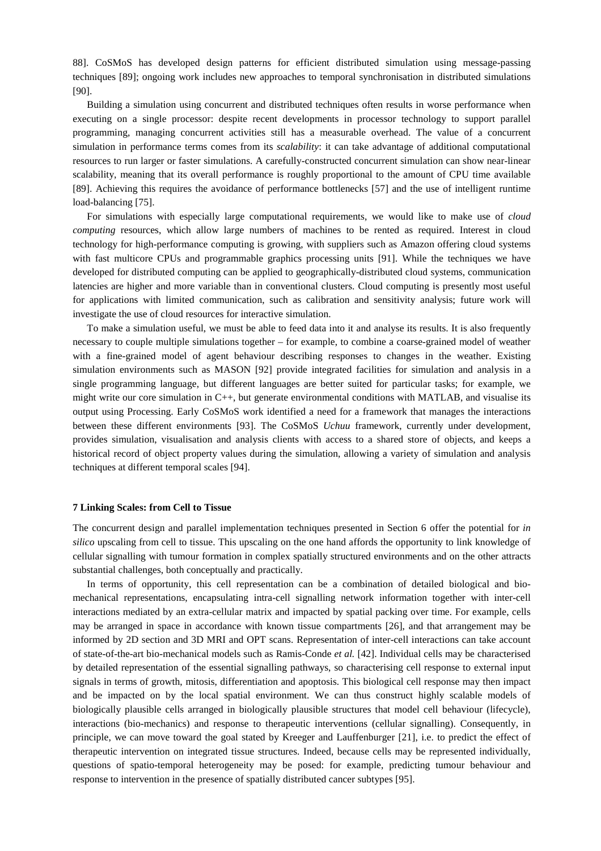88]. CoSMoS has developed design patterns for efficient distributed simulation using message-passing techniques [89]; ongoing work includes new approaches to temporal synchronisation in distributed simulations [90].

Building a simulation using concurrent and distributed techniques often results in worse performance when executing on a single processor: despite recent developments in processor technology to support parallel programming, managing concurrent activities still has a measurable overhead. The value of a concurrent simulation in performance terms comes from its *scalability*: it can take advantage of additional computational resources to run larger or faster simulations. A carefully-constructed concurrent simulation can show near-linear scalability, meaning that its overall performance is roughly proportional to the amount of CPU time available [89]. Achieving this requires the avoidance of performance bottlenecks [57] and the use of intelligent runtime load-balancing [75].

For simulations with especially large computational requirements, we would like to make use of *cloud computing* resources, which allow large numbers of machines to be rented as required. Interest in cloud technology for high-performance computing is growing, with suppliers such as Amazon offering cloud systems with fast multicore CPUs and programmable graphics processing units [91]. While the techniques we have developed for distributed computing can be applied to geographically-distributed cloud systems, communication latencies are higher and more variable than in conventional clusters. Cloud computing is presently most useful for applications with limited communication, such as calibration and sensitivity analysis; future work will investigate the use of cloud resources for interactive simulation.

To make a simulation useful, we must be able to feed data into it and analyse its results. It is also frequently necessary to couple multiple simulations together – for example, to combine a coarse-grained model of weather with a fine-grained model of agent behaviour describing responses to changes in the weather. Existing simulation environments such as MASON [92] provide integrated facilities for simulation and analysis in a single programming language, but different languages are better suited for particular tasks; for example, we might write our core simulation in C++, but generate environmental conditions with MATLAB, and visualise its output using Processing. Early CoSMoS work identified a need for a framework that manages the interactions between these different environments [93]. The CoSMoS *Uchuu* framework, currently under development, provides simulation, visualisation and analysis clients with access to a shared store of objects, and keeps a historical record of object property values during the simulation, allowing a variety of simulation and analysis techniques at different temporal scales [94].

# **7 Linking Scales: from Cell to Tissue**

The concurrent design and parallel implementation techniques presented in Section 6 offer the potential for *in silico* upscaling from cell to tissue. This upscaling on the one hand affords the opportunity to link knowledge of cellular signalling with tumour formation in complex spatially structured environments and on the other attracts substantial challenges, both conceptually and practically.

In terms of opportunity, this cell representation can be a combination of detailed biological and biomechanical representations, encapsulating intra-cell signalling network information together with inter-cell interactions mediated by an extra-cellular matrix and impacted by spatial packing over time. For example, cells may be arranged in space in accordance with known tissue compartments [26], and that arrangement may be informed by 2D section and 3D MRI and OPT scans. Representation of inter-cell interactions can take account of state-of-the-art bio-mechanical models such as Ramis-Conde *et al.* [42]. Individual cells may be characterised by detailed representation of the essential signalling pathways, so characterising cell response to external input signals in terms of growth, mitosis, differentiation and apoptosis. This biological cell response may then impact and be impacted on by the local spatial environment. We can thus construct highly scalable models of biologically plausible cells arranged in biologically plausible structures that model cell behaviour (lifecycle), interactions (bio-mechanics) and response to therapeutic interventions (cellular signalling). Consequently, in principle, we can move toward the goal stated by Kreeger and Lauffenburger [21], i.e. to predict the effect of therapeutic intervention on integrated tissue structures. Indeed, because cells may be represented individually, questions of spatio-temporal heterogeneity may be posed: for example, predicting tumour behaviour and response to intervention in the presence of spatially distributed cancer subtypes [95].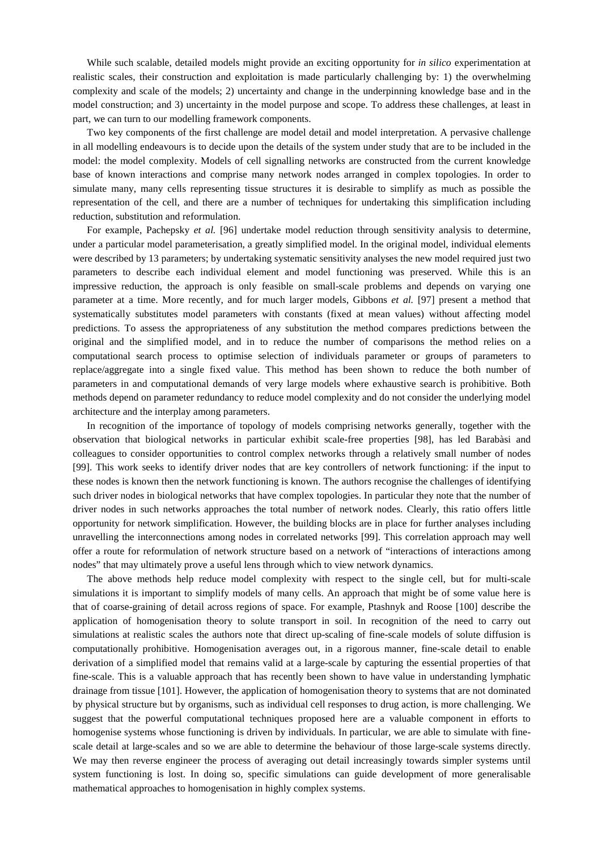While such scalable, detailed models might provide an exciting opportunity for *in silico* experimentation at realistic scales, their construction and exploitation is made particularly challenging by: 1) the overwhelming complexity and scale of the models; 2) uncertainty and change in the underpinning knowledge base and in the model construction; and 3) uncertainty in the model purpose and scope. To address these challenges, at least in part, we can turn to our modelling framework components.

Two key components of the first challenge are model detail and model interpretation. A pervasive challenge in all modelling endeavours is to decide upon the details of the system under study that are to be included in the model: the model complexity. Models of cell signalling networks are constructed from the current knowledge base of known interactions and comprise many network nodes arranged in complex topologies. In order to simulate many, many cells representing tissue structures it is desirable to simplify as much as possible the representation of the cell, and there are a number of techniques for undertaking this simplification including reduction, substitution and reformulation.

For example, Pachepsky *et al.* [96] undertake model reduction through sensitivity analysis to determine, under a particular model parameterisation, a greatly simplified model. In the original model, individual elements were described by 13 parameters; by undertaking systematic sensitivity analyses the new model required just two parameters to describe each individual element and model functioning was preserved. While this is an impressive reduction, the approach is only feasible on small-scale problems and depends on varying one parameter at a time. More recently, and for much larger models, Gibbons *et al.* [97] present a method that systematically substitutes model parameters with constants (fixed at mean values) without affecting model predictions. To assess the appropriateness of any substitution the method compares predictions between the original and the simplified model, and in to reduce the number of comparisons the method relies on a computational search process to optimise selection of individuals parameter or groups of parameters to replace/aggregate into a single fixed value. This method has been shown to reduce the both number of parameters in and computational demands of very large models where exhaustive search is prohibitive. Both methods depend on parameter redundancy to reduce model complexity and do not consider the underlying model architecture and the interplay among parameters.

In recognition of the importance of topology of models comprising networks generally, together with the observation that biological networks in particular exhibit scale-free properties [98], has led Barabàsi and colleagues to consider opportunities to control complex networks through a relatively small number of nodes [99]. This work seeks to identify driver nodes that are key controllers of network functioning: if the input to these nodes is known then the network functioning is known. The authors recognise the challenges of identifying such driver nodes in biological networks that have complex topologies. In particular they note that the number of driver nodes in such networks approaches the total number of network nodes. Clearly, this ratio offers little opportunity for network simplification. However, the building blocks are in place for further analyses including unravelling the interconnections among nodes in correlated networks [99]. This correlation approach may well offer a route for reformulation of network structure based on a network of "interactions of interactions among nodes" that may ultimately prove a useful lens through which to view network dynamics.

The above methods help reduce model complexity with respect to the single cell, but for multi-scale simulations it is important to simplify models of many cells. An approach that might be of some value here is that of coarse-graining of detail across regions of space. For example, Ptashnyk and Roose [100] describe the application of homogenisation theory to solute transport in soil. In recognition of the need to carry out simulations at realistic scales the authors note that direct up-scaling of fine-scale models of solute diffusion is computationally prohibitive. Homogenisation averages out, in a rigorous manner, fine-scale detail to enable derivation of a simplified model that remains valid at a large-scale by capturing the essential properties of that fine-scale. This is a valuable approach that has recently been shown to have value in understanding lymphatic drainage from tissue [101]. However, the application of homogenisation theory to systems that are not dominated by physical structure but by organisms, such as individual cell responses to drug action, is more challenging. We suggest that the powerful computational techniques proposed here are a valuable component in efforts to homogenise systems whose functioning is driven by individuals. In particular, we are able to simulate with finescale detail at large-scales and so we are able to determine the behaviour of those large-scale systems directly. We may then reverse engineer the process of averaging out detail increasingly towards simpler systems until system functioning is lost. In doing so, specific simulations can guide development of more generalisable mathematical approaches to homogenisation in highly complex systems.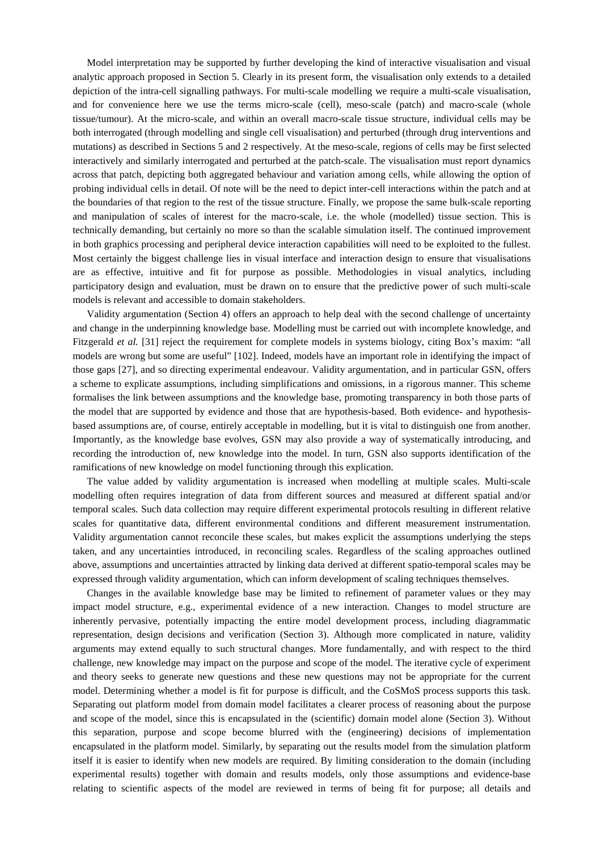Model interpretation may be supported by further developing the kind of interactive visualisation and visual analytic approach proposed in Section 5. Clearly in its present form, the visualisation only extends to a detailed depiction of the intra-cell signalling pathways. For multi-scale modelling we require a multi-scale visualisation, and for convenience here we use the terms micro-scale (cell), meso-scale (patch) and macro-scale (whole tissue/tumour). At the micro-scale, and within an overall macro-scale tissue structure, individual cells may be both interrogated (through modelling and single cell visualisation) and perturbed (through drug interventions and mutations) as described in Sections 5 and 2 respectively. At the meso-scale, regions of cells may be first selected interactively and similarly interrogated and perturbed at the patch-scale. The visualisation must report dynamics across that patch, depicting both aggregated behaviour and variation among cells, while allowing the option of probing individual cells in detail. Of note will be the need to depict inter-cell interactions within the patch and at the boundaries of that region to the rest of the tissue structure. Finally, we propose the same bulk-scale reporting and manipulation of scales of interest for the macro-scale, i.e. the whole (modelled) tissue section. This is technically demanding, but certainly no more so than the scalable simulation itself. The continued improvement in both graphics processing and peripheral device interaction capabilities will need to be exploited to the fullest. Most certainly the biggest challenge lies in visual interface and interaction design to ensure that visualisations are as effective, intuitive and fit for purpose as possible. Methodologies in visual analytics, including participatory design and evaluation, must be drawn on to ensure that the predictive power of such multi-scale models is relevant and accessible to domain stakeholders.

Validity argumentation (Section 4) offers an approach to help deal with the second challenge of uncertainty and change in the underpinning knowledge base. Modelling must be carried out with incomplete knowledge, and Fitzgerald *et al.* [31] reject the requirement for complete models in systems biology, citing Box's maxim: "all models are wrong but some are useful" [102]. Indeed, models have an important role in identifying the impact of those gaps [27], and so directing experimental endeavour. Validity argumentation, and in particular GSN, offers a scheme to explicate assumptions, including simplifications and omissions, in a rigorous manner. This scheme formalises the link between assumptions and the knowledge base, promoting transparency in both those parts of the model that are supported by evidence and those that are hypothesis-based. Both evidence- and hypothesisbased assumptions are, of course, entirely acceptable in modelling, but it is vital to distinguish one from another. Importantly, as the knowledge base evolves, GSN may also provide a way of systematically introducing, and recording the introduction of, new knowledge into the model. In turn, GSN also supports identification of the ramifications of new knowledge on model functioning through this explication.

The value added by validity argumentation is increased when modelling at multiple scales. Multi-scale modelling often requires integration of data from different sources and measured at different spatial and/or temporal scales. Such data collection may require different experimental protocols resulting in different relative scales for quantitative data, different environmental conditions and different measurement instrumentation. Validity argumentation cannot reconcile these scales, but makes explicit the assumptions underlying the steps taken, and any uncertainties introduced, in reconciling scales. Regardless of the scaling approaches outlined above, assumptions and uncertainties attracted by linking data derived at different spatio-temporal scales may be expressed through validity argumentation, which can inform development of scaling techniques themselves.

Changes in the available knowledge base may be limited to refinement of parameter values or they may impact model structure, e.g., experimental evidence of a new interaction. Changes to model structure are inherently pervasive, potentially impacting the entire model development process, including diagrammatic representation, design decisions and verification (Section 3). Although more complicated in nature, validity arguments may extend equally to such structural changes. More fundamentally, and with respect to the third challenge, new knowledge may impact on the purpose and scope of the model. The iterative cycle of experiment and theory seeks to generate new questions and these new questions may not be appropriate for the current model. Determining whether a model is fit for purpose is difficult, and the CoSMoS process supports this task. Separating out platform model from domain model facilitates a clearer process of reasoning about the purpose and scope of the model, since this is encapsulated in the (scientific) domain model alone (Section 3). Without this separation, purpose and scope become blurred with the (engineering) decisions of implementation encapsulated in the platform model. Similarly, by separating out the results model from the simulation platform itself it is easier to identify when new models are required. By limiting consideration to the domain (including experimental results) together with domain and results models, only those assumptions and evidence-base relating to scientific aspects of the model are reviewed in terms of being fit for purpose; all details and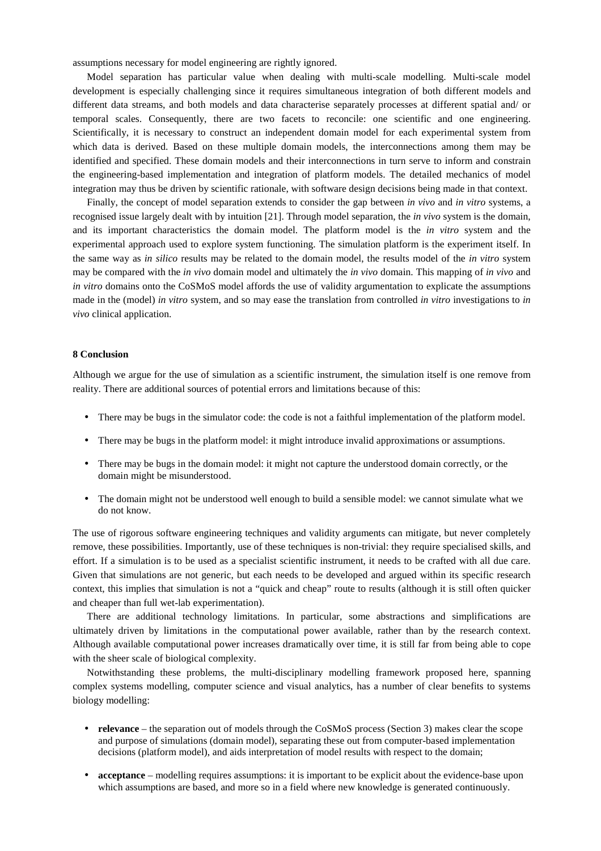assumptions necessary for model engineering are rightly ignored.

Model separation has particular value when dealing with multi-scale modelling. Multi-scale model development is especially challenging since it requires simultaneous integration of both different models and different data streams, and both models and data characterise separately processes at different spatial and/ or temporal scales. Consequently, there are two facets to reconcile: one scientific and one engineering. Scientifically, it is necessary to construct an independent domain model for each experimental system from which data is derived. Based on these multiple domain models, the interconnections among them may be identified and specified. These domain models and their interconnections in turn serve to inform and constrain the engineering-based implementation and integration of platform models. The detailed mechanics of model integration may thus be driven by scientific rationale, with software design decisions being made in that context.

Finally, the concept of model separation extends to consider the gap between *in vivo* and *in vitro* systems, a recognised issue largely dealt with by intuition [21]. Through model separation, the *in vivo* system is the domain, and its important characteristics the domain model. The platform model is the *in vitro* system and the experimental approach used to explore system functioning. The simulation platform is the experiment itself. In the same way as *in silico* results may be related to the domain model, the results model of the *in vitro* system may be compared with the *in vivo* domain model and ultimately the *in vivo* domain. This mapping of *in vivo* and *in vitro* domains onto the CoSMoS model affords the use of validity argumentation to explicate the assumptions made in the (model) *in vitro* system, and so may ease the translation from controlled *in vitro* investigations to *in vivo* clinical application.

### **8 Conclusion**

Although we argue for the use of simulation as a scientific instrument, the simulation itself is one remove from reality. There are additional sources of potential errors and limitations because of this:

- There may be bugs in the simulator code: the code is not a faithful implementation of the platform model.
- There may be bugs in the platform model: it might introduce invalid approximations or assumptions.
- There may be bugs in the domain model: it might not capture the understood domain correctly, or the domain might be misunderstood.
- The domain might not be understood well enough to build a sensible model: we cannot simulate what we do not know.

The use of rigorous software engineering techniques and validity arguments can mitigate, but never completely remove, these possibilities. Importantly, use of these techniques is non-trivial: they require specialised skills, and effort. If a simulation is to be used as a specialist scientific instrument, it needs to be crafted with all due care. Given that simulations are not generic, but each needs to be developed and argued within its specific research context, this implies that simulation is not a "quick and cheap" route to results (although it is still often quicker and cheaper than full wet-lab experimentation).

There are additional technology limitations. In particular, some abstractions and simplifications are ultimately driven by limitations in the computational power available, rather than by the research context. Although available computational power increases dramatically over time, it is still far from being able to cope with the sheer scale of biological complexity.

Notwithstanding these problems, the multi-disciplinary modelling framework proposed here, spanning complex systems modelling, computer science and visual analytics, has a number of clear benefits to systems biology modelling:

- **relevance** the separation out of models through the CoSMoS process (Section 3) makes clear the scope and purpose of simulations (domain model), separating these out from computer-based implementation decisions (platform model), and aids interpretation of model results with respect to the domain;
- **acceptance** modelling requires assumptions: it is important to be explicit about the evidence-base upon which assumptions are based, and more so in a field where new knowledge is generated continuously.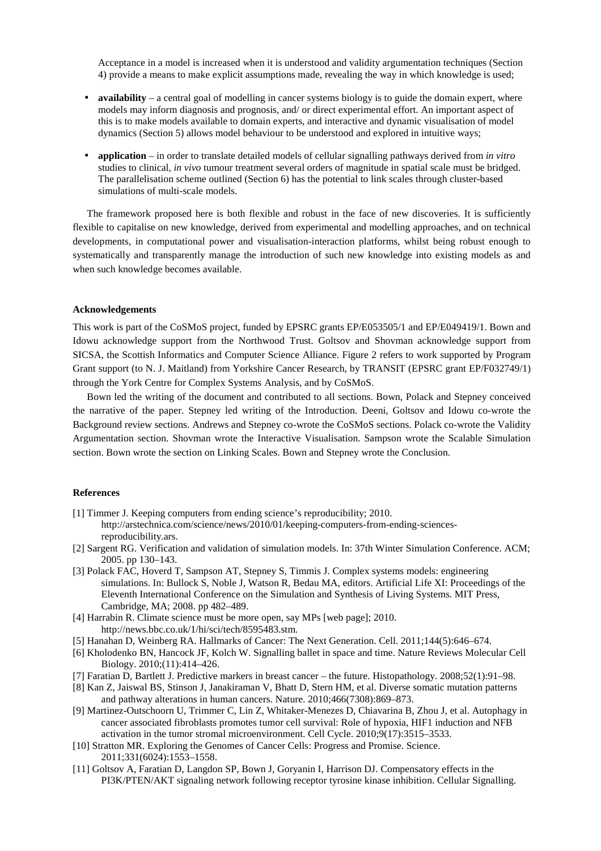Acceptance in a model is increased when it is understood and validity argumentation techniques (Section 4) provide a means to make explicit assumptions made, revealing the way in which knowledge is used;

- **availability** a central goal of modelling in cancer systems biology is to guide the domain expert, where models may inform diagnosis and prognosis, and/ or direct experimental effort. An important aspect of this is to make models available to domain experts, and interactive and dynamic visualisation of model dynamics (Section 5) allows model behaviour to be understood and explored in intuitive ways;
- **application** in order to translate detailed models of cellular signalling pathways derived from *in vitro* studies to clinical, *in vivo* tumour treatment several orders of magnitude in spatial scale must be bridged. The parallelisation scheme outlined (Section 6) has the potential to link scales through cluster-based simulations of multi-scale models.

The framework proposed here is both flexible and robust in the face of new discoveries. It is sufficiently flexible to capitalise on new knowledge, derived from experimental and modelling approaches, and on technical developments, in computational power and visualisation-interaction platforms, whilst being robust enough to systematically and transparently manage the introduction of such new knowledge into existing models as and when such knowledge becomes available.

### **Acknowledgements**

This work is part of the CoSMoS project, funded by EPSRC grants EP/E053505/1 and EP/E049419/1. Bown and Idowu acknowledge support from the Northwood Trust. Goltsov and Shovman acknowledge support from SICSA, the Scottish Informatics and Computer Science Alliance. Figure 2 refers to work supported by Program Grant support (to N. J. Maitland) from Yorkshire Cancer Research, by TRANSIT (EPSRC grant EP/F032749/1) through the York Centre for Complex Systems Analysis, and by CoSMoS.

Bown led the writing of the document and contributed to all sections. Bown, Polack and Stepney conceived the narrative of the paper. Stepney led writing of the Introduction. Deeni, Goltsov and Idowu co-wrote the Background review sections. Andrews and Stepney co-wrote the CoSMoS sections. Polack co-wrote the Validity Argumentation section. Shovman wrote the Interactive Visualisation. Sampson wrote the Scalable Simulation section. Bown wrote the section on Linking Scales. Bown and Stepney wrote the Conclusion.

### **References**

- [1] Timmer J. Keeping computers from ending science's reproducibility; 2010. http://arstechnica.com/science/news/2010/01/keeping-computers-from-ending-sciencesreproducibility.ars.
- [2] Sargent RG. Verification and validation of simulation models. In: 37th Winter Simulation Conference. ACM; 2005. pp 130–143.
- [3] Polack FAC, Hoverd T, Sampson AT, Stepney S, Timmis J. Complex systems models: engineering simulations. In: Bullock S, Noble J, Watson R, Bedau MA, editors. Artificial Life XI: Proceedings of the Eleventh International Conference on the Simulation and Synthesis of Living Systems. MIT Press, Cambridge, MA; 2008. pp 482–489.
- [4] Harrabin R. Climate science must be more open, say MPs [web page]; 2010. http://news.bbc.co.uk/1/hi/sci/tech/8595483.stm.
- [5] Hanahan D, Weinberg RA. Hallmarks of Cancer: The Next Generation. Cell. 2011;144(5):646–674.
- [6] Kholodenko BN, Hancock JF, Kolch W. Signalling ballet in space and time. Nature Reviews Molecular Cell Biology. 2010;(11):414–426.
- [7] Faratian D, Bartlett J. Predictive markers in breast cancer the future. Histopathology. 2008;52(1):91–98.
- [8] Kan Z, Jaiswal BS, Stinson J, Janakiraman V, Bhatt D, Stern HM, et al. Diverse somatic mutation patterns and pathway alterations in human cancers. Nature. 2010;466(7308):869–873.
- [9] Martinez-Outschoorn U, Trimmer C, Lin Z, Whitaker-Menezes D, Chiavarina B, Zhou J, et al. Autophagy in cancer associated fibroblasts promotes tumor cell survival: Role of hypoxia, HIF1 induction and NFB activation in the tumor stromal microenvironment. Cell Cycle. 2010;9(17):3515–3533.
- [10] Stratton MR. Exploring the Genomes of Cancer Cells: Progress and Promise. Science. 2011;331(6024):1553–1558.
- [11] Goltsov A, Faratian D, Langdon SP, Bown J, Goryanin I, Harrison DJ. Compensatory effects in the PI3K/PTEN/AKT signaling network following receptor tyrosine kinase inhibition. Cellular Signalling.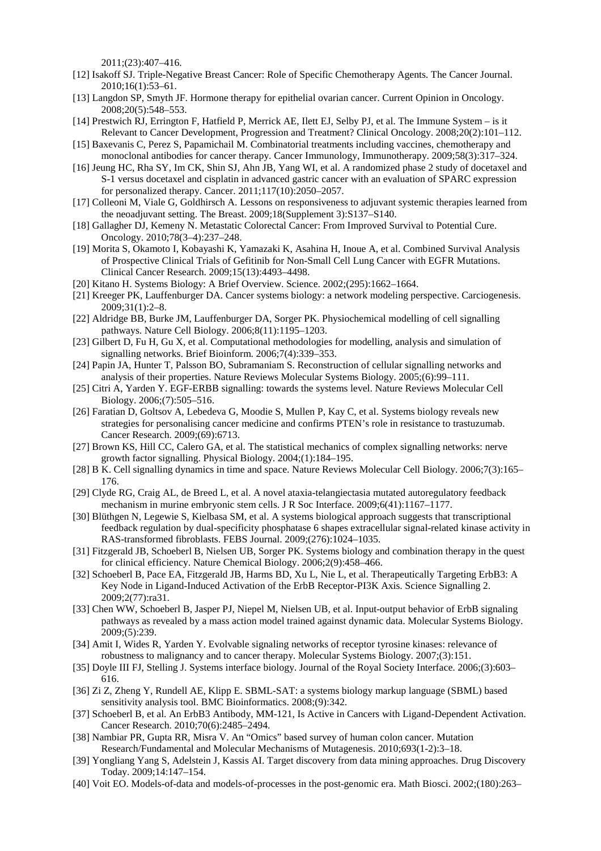2011;(23):407–416.

- [12] Isakoff SJ. Triple-Negative Breast Cancer: Role of Specific Chemotherapy Agents. The Cancer Journal. 2010;16(1):53–61.
- [13] Langdon SP, Smyth JF. Hormone therapy for epithelial ovarian cancer. Current Opinion in Oncology. 2008;20(5):548–553.
- [14] Prestwich RJ, Errington F, Hatfield P, Merrick AE, Ilett EJ, Selby PJ, et al. The Immune System is it Relevant to Cancer Development, Progression and Treatment? Clinical Oncology. 2008;20(2):101–112.
- [15] Baxevanis C, Perez S, Papamichail M. Combinatorial treatments including vaccines, chemotherapy and monoclonal antibodies for cancer therapy. Cancer Immunology, Immunotherapy. 2009;58(3):317–324.
- [16] Jeung HC, Rha SY, Im CK, Shin SJ, Ahn JB, Yang WI, et al. A randomized phase 2 study of docetaxel and S-1 versus docetaxel and cisplatin in advanced gastric cancer with an evaluation of SPARC expression for personalized therapy. Cancer. 2011;117(10):2050–2057.
- [17] Colleoni M, Viale G, Goldhirsch A. Lessons on responsiveness to adjuvant systemic therapies learned from the neoadjuvant setting. The Breast. 2009;18(Supplement 3):S137–S140.
- [18] Gallagher DJ, Kemeny N. Metastatic Colorectal Cancer: From Improved Survival to Potential Cure. Oncology. 2010;78(3–4):237–248.
- [19] Morita S, Okamoto I, Kobayashi K, Yamazaki K, Asahina H, Inoue A, et al. Combined Survival Analysis of Prospective Clinical Trials of Gefitinib for Non-Small Cell Lung Cancer with EGFR Mutations. Clinical Cancer Research. 2009;15(13):4493–4498.
- [20] Kitano H. Systems Biology: A Brief Overview. Science. 2002;(295):1662–1664.
- [21] Kreeger PK, Lauffenburger DA. Cancer systems biology: a network modeling perspective. Carciogenesis. 2009;31(1):2–8.
- [22] Aldridge BB, Burke JM, Lauffenburger DA, Sorger PK. Physiochemical modelling of cell signalling pathways. Nature Cell Biology. 2006;8(11):1195–1203.
- [23] Gilbert D, Fu H, Gu X, et al. Computational methodologies for modelling, analysis and simulation of signalling networks. Brief Bioinform. 2006;7(4):339–353.
- [24] Papin JA, Hunter T, Palsson BO, Subramaniam S. Reconstruction of cellular signalling networks and analysis of their properties. Nature Reviews Molecular Systems Biology. 2005;(6):99–111.
- [25] Citri A, Yarden Y. EGF-ERBB signalling: towards the systems level. Nature Reviews Molecular Cell Biology. 2006;(7):505–516.
- [26] Faratian D, Goltsov A, Lebedeva G, Moodie S, Mullen P, Kay C, et al. Systems biology reveals new strategies for personalising cancer medicine and confirms PTEN's role in resistance to trastuzumab. Cancer Research. 2009;(69):6713.
- [27] Brown KS, Hill CC, Calero GA, et al. The statistical mechanics of complex signalling networks: nerve growth factor signalling. Physical Biology. 2004;(1):184–195.
- [28] B K. Cell signalling dynamics in time and space. Nature Reviews Molecular Cell Biology. 2006;7(3):165– 176.
- [29] Clyde RG, Craig AL, de Breed L, et al. A novel ataxia-telangiectasia mutated autoregulatory feedback mechanism in murine embryonic stem cells. J R Soc Interface. 2009;6(41):1167–1177.
- [30] Blüthgen N, Legewie S, Kielbasa SM, et al. A systems biological approach suggests that transcriptional feedback regulation by dual-specificity phosphatase 6 shapes extracellular signal-related kinase activity in RAS-transformed fibroblasts. FEBS Journal. 2009;(276):1024–1035.
- [31] Fitzgerald JB, Schoeberl B, Nielsen UB, Sorger PK. Systems biology and combination therapy in the quest for clinical efficiency. Nature Chemical Biology. 2006;2(9):458–466.
- [32] Schoeberl B, Pace EA, Fitzgerald JB, Harms BD, Xu L, Nie L, et al. Therapeutically Targeting ErbB3: A Key Node in Ligand-Induced Activation of the ErbB Receptor-PI3K Axis. Science Signalling 2. 2009;2(77):ra31.
- [33] Chen WW, Schoeberl B, Jasper PJ, Niepel M, Nielsen UB, et al. Input-output behavior of ErbB signaling pathways as revealed by a mass action model trained against dynamic data. Molecular Systems Biology. 2009;(5):239.
- [34] Amit I, Wides R, Yarden Y. Evolvable signaling networks of receptor tyrosine kinases: relevance of robustness to malignancy and to cancer therapy. Molecular Systems Biology. 2007;(3):151.
- [35] Doyle III FJ, Stelling J. Systems interface biology. Journal of the Royal Society Interface. 2006;(3):603– 616.
- [36] Zi Z, Zheng Y, Rundell AE, Klipp E. SBML-SAT: a systems biology markup language (SBML) based sensitivity analysis tool. BMC Bioinformatics. 2008;(9):342.
- [37] Schoeberl B, et al. An ErbB3 Antibody, MM-121, Is Active in Cancers with Ligand-Dependent Activation. Cancer Research. 2010;70(6):2485–2494.
- [38] Nambiar PR, Gupta RR, Misra V. An "Omics" based survey of human colon cancer. Mutation Research/Fundamental and Molecular Mechanisms of Mutagenesis. 2010;693(1-2):3–18.
- [39] Yongliang Yang S, Adelstein J, Kassis AI. Target discovery from data mining approaches. Drug Discovery Today. 2009;14:147–154.
- [40] Voit EO. Models-of-data and models-of-processes in the post-genomic era. Math Biosci. 2002;(180):263–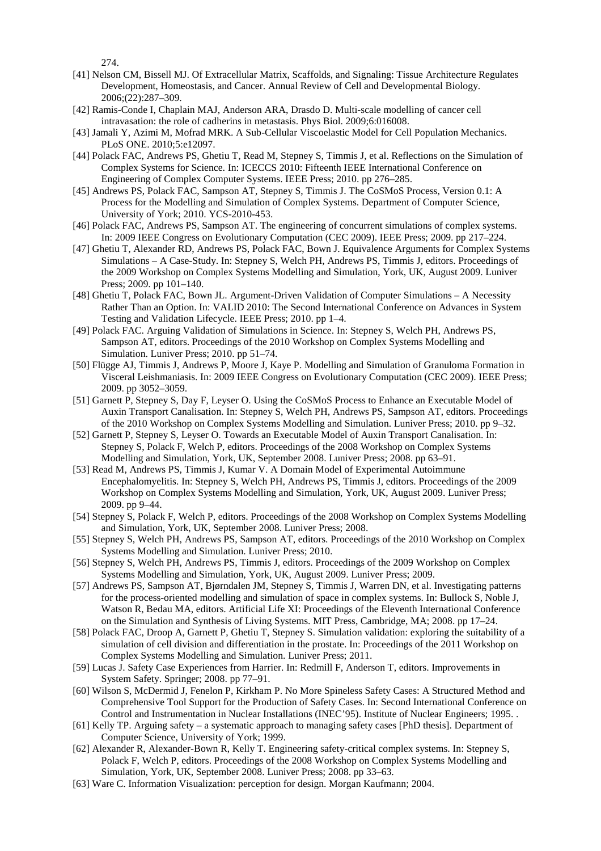274.

- [41] Nelson CM, Bissell MJ. Of Extracellular Matrix, Scaffolds, and Signaling: Tissue Architecture Regulates Development, Homeostasis, and Cancer. Annual Review of Cell and Developmental Biology. 2006;(22):287–309.
- [42] Ramis-Conde I, Chaplain MAJ, Anderson ARA, Drasdo D. Multi-scale modelling of cancer cell intravasation: the role of cadherins in metastasis. Phys Biol. 2009;6:016008.
- [43] Jamali Y, Azimi M, Mofrad MRK. A Sub-Cellular Viscoelastic Model for Cell Population Mechanics. PLoS ONE. 2010;5:e12097.
- [44] Polack FAC, Andrews PS, Ghetiu T, Read M, Stepney S, Timmis J, et al. Reflections on the Simulation of Complex Systems for Science. In: ICECCS 2010: Fifteenth IEEE International Conference on Engineering of Complex Computer Systems. IEEE Press; 2010. pp 276–285.
- [45] Andrews PS, Polack FAC, Sampson AT, Stepney S, Timmis J. The CoSMoS Process, Version 0.1: A Process for the Modelling and Simulation of Complex Systems. Department of Computer Science, University of York; 2010. YCS-2010-453.
- [46] Polack FAC, Andrews PS, Sampson AT. The engineering of concurrent simulations of complex systems. In: 2009 IEEE Congress on Evolutionary Computation (CEC 2009). IEEE Press; 2009. pp 217–224.
- [47] Ghetiu T, Alexander RD, Andrews PS, Polack FAC, Bown J. Equivalence Arguments for Complex Systems Simulations – A Case-Study. In: Stepney S, Welch PH, Andrews PS, Timmis J, editors. Proceedings of the 2009 Workshop on Complex Systems Modelling and Simulation, York, UK, August 2009. Luniver Press: 2009. pp 101–140.
- [48] Ghetiu T, Polack FAC, Bown JL. Argument-Driven Validation of Computer Simulations A Necessity Rather Than an Option. In: VALID 2010: The Second International Conference on Advances in System Testing and Validation Lifecycle. IEEE Press; 2010. pp 1–4.
- [49] Polack FAC. Arguing Validation of Simulations in Science. In: Stepney S, Welch PH, Andrews PS, Sampson AT, editors. Proceedings of the 2010 Workshop on Complex Systems Modelling and Simulation. Luniver Press; 2010. pp 51–74.
- [50] Flügge AJ, Timmis J, Andrews P, Moore J, Kaye P. Modelling and Simulation of Granuloma Formation in Visceral Leishmaniasis. In: 2009 IEEE Congress on Evolutionary Computation (CEC 2009). IEEE Press; 2009. pp 3052–3059.
- [51] Garnett P, Stepney S, Day F, Leyser O. Using the CoSMoS Process to Enhance an Executable Model of Auxin Transport Canalisation. In: Stepney S, Welch PH, Andrews PS, Sampson AT, editors. Proceedings of the 2010 Workshop on Complex Systems Modelling and Simulation. Luniver Press; 2010. pp 9–32.
- [52] Garnett P, Stepney S, Leyser O. Towards an Executable Model of Auxin Transport Canalisation. In: Stepney S, Polack F, Welch P, editors. Proceedings of the 2008 Workshop on Complex Systems Modelling and Simulation, York, UK, September 2008. Luniver Press; 2008. pp 63–91.
- [53] Read M, Andrews PS, Timmis J, Kumar V. A Domain Model of Experimental Autoimmune Encephalomyelitis. In: Stepney S, Welch PH, Andrews PS, Timmis J, editors. Proceedings of the 2009 Workshop on Complex Systems Modelling and Simulation, York, UK, August 2009. Luniver Press; 2009. pp 9–44.
- [54] Stepney S, Polack F, Welch P, editors. Proceedings of the 2008 Workshop on Complex Systems Modelling and Simulation, York, UK, September 2008. Luniver Press; 2008.
- [55] Stepney S, Welch PH, Andrews PS, Sampson AT, editors. Proceedings of the 2010 Workshop on Complex Systems Modelling and Simulation. Luniver Press; 2010.
- [56] Stepney S, Welch PH, Andrews PS, Timmis J, editors. Proceedings of the 2009 Workshop on Complex Systems Modelling and Simulation, York, UK, August 2009. Luniver Press; 2009.
- [57] Andrews PS, Sampson AT, Bjørndalen JM, Stepney S, Timmis J, Warren DN, et al. Investigating patterns for the process-oriented modelling and simulation of space in complex systems. In: Bullock S, Noble J, Watson R, Bedau MA, editors. Artificial Life XI: Proceedings of the Eleventh International Conference on the Simulation and Synthesis of Living Systems. MIT Press, Cambridge, MA; 2008. pp 17–24.
- [58] Polack FAC, Droop A, Garnett P, Ghetiu T, Stepney S. Simulation validation: exploring the suitability of a simulation of cell division and differentiation in the prostate. In: Proceedings of the 2011 Workshop on Complex Systems Modelling and Simulation. Luniver Press; 2011.
- [59] Lucas J. Safety Case Experiences from Harrier. In: Redmill F, Anderson T, editors. Improvements in System Safety. Springer; 2008. pp 77–91.
- [60] Wilson S, McDermid J, Fenelon P, Kirkham P. No More Spineless Safety Cases: A Structured Method and Comprehensive Tool Support for the Production of Safety Cases. In: Second International Conference on Control and Instrumentation in Nuclear Installations (INEC'95). Institute of Nuclear Engineers; 1995. .
- [61] Kelly TP. Arguing safety a systematic approach to managing safety cases [PhD thesis]. Department of Computer Science, University of York; 1999.
- [62] Alexander R, Alexander-Bown R, Kelly T. Engineering safety-critical complex systems. In: Stepney S, Polack F, Welch P, editors. Proceedings of the 2008 Workshop on Complex Systems Modelling and Simulation, York, UK, September 2008. Luniver Press; 2008. pp 33–63.
- [63] Ware C. Information Visualization: perception for design. Morgan Kaufmann; 2004.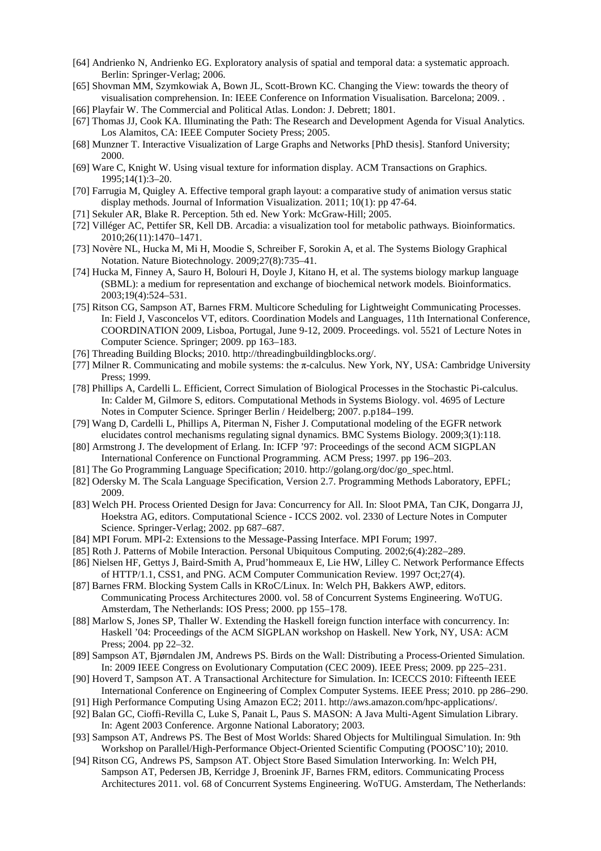- [64] Andrienko N, Andrienko EG. Exploratory analysis of spatial and temporal data: a systematic approach. Berlin: Springer-Verlag; 2006.
- [65] Shovman MM, Szymkowiak A, Bown JL, Scott-Brown KC. Changing the View: towards the theory of visualisation comprehension. In: IEEE Conference on Information Visualisation. Barcelona; 2009. .

[66] Playfair W. The Commercial and Political Atlas. London: J. Debrett; 1801.

- [67] Thomas JJ, Cook KA. Illuminating the Path: The Research and Development Agenda for Visual Analytics. Los Alamitos, CA: IEEE Computer Society Press; 2005.
- [68] Munzner T. Interactive Visualization of Large Graphs and Networks [PhD thesis]. Stanford University; 2000.
- [69] Ware C, Knight W. Using visual texture for information display. ACM Transactions on Graphics. 1995;14(1):3–20.
- [70] Farrugia M, Quigley A. Effective temporal graph layout: a comparative study of animation versus static display methods. Journal of Information Visualization. 2011; 10(1): pp 47-64.
- [71] Sekuler AR, Blake R. Perception. 5th ed. New York: McGraw-Hill; 2005.
- [72] Villéger AC, Pettifer SR, Kell DB. Arcadia: a visualization tool for metabolic pathways. Bioinformatics. 2010;26(11):1470–1471.
- [73] Novère NL, Hucka M, Mi H, Moodie S, Schreiber F, Sorokin A, et al. The Systems Biology Graphical Notation. Nature Biotechnology. 2009;27(8):735–41.
- [74] Hucka M, Finney A, Sauro H, Bolouri H, Doyle J, Kitano H, et al. The systems biology markup language (SBML): a medium for representation and exchange of biochemical network models. Bioinformatics. 2003;19(4):524–531.
- [75] Ritson CG, Sampson AT, Barnes FRM. Multicore Scheduling for Lightweight Communicating Processes. In: Field J, Vasconcelos VT, editors. Coordination Models and Languages, 11th International Conference, COORDINATION 2009, Lisboa, Portugal, June 9-12, 2009. Proceedings. vol. 5521 of Lecture Notes in Computer Science. Springer; 2009. pp 163–183.
- [76] Threading Building Blocks; 2010. http://threadingbuildingblocks.org/.
- [77] Milner R. Communicating and mobile systems: the π-calculus. New York, NY, USA: Cambridge University Press; 1999.
- [78] Phillips A, Cardelli L. Efficient, Correct Simulation of Biological Processes in the Stochastic Pi-calculus. In: Calder M, Gilmore S, editors. Computational Methods in Systems Biology. vol. 4695 of Lecture Notes in Computer Science. Springer Berlin / Heidelberg; 2007. p.p184–199.
- [79] Wang D, Cardelli L, Phillips A, Piterman N, Fisher J. Computational modeling of the EGFR network elucidates control mechanisms regulating signal dynamics. BMC Systems Biology. 2009;3(1):118.
- [80] Armstrong J. The development of Erlang. In: ICFP '97: Proceedings of the second ACM SIGPLAN International Conference on Functional Programming. ACM Press; 1997. pp 196–203.
- [81] The Go Programming Language Specification; 2010. http://golang.org/doc/go\_spec.html.
- [82] Odersky M. The Scala Language Specification, Version 2.7. Programming Methods Laboratory, EPFL; 2009.
- [83] Welch PH. Process Oriented Design for Java: Concurrency for All. In: Sloot PMA, Tan CJK, Dongarra JJ, Hoekstra AG, editors. Computational Science - ICCS 2002. vol. 2330 of Lecture Notes in Computer Science. Springer-Verlag; 2002. pp 687–687.
- [84] MPI Forum. MPI-2: Extensions to the Message-Passing Interface. MPI Forum; 1997.
- [85] Roth J. Patterns of Mobile Interaction. Personal Ubiquitous Computing. 2002;6(4):282–289.
- [86] Nielsen HF, Gettys J, Baird-Smith A, Prud'hommeaux E, Lie HW, Lilley C. Network Performance Effects of HTTP/1.1, CSS1, and PNG. ACM Computer Communication Review. 1997 Oct;27(4).
- [87] Barnes FRM. Blocking System Calls in KRoC/Linux. In: Welch PH, Bakkers AWP, editors. Communicating Process Architectures 2000. vol. 58 of Concurrent Systems Engineering. WoTUG. Amsterdam, The Netherlands: IOS Press; 2000. pp 155–178.
- [88] Marlow S, Jones SP, Thaller W. Extending the Haskell foreign function interface with concurrency. In: Haskell '04: Proceedings of the ACM SIGPLAN workshop on Haskell. New York, NY, USA: ACM Press; 2004. pp 22–32.
- [89] Sampson AT, Bjørndalen JM, Andrews PS. Birds on the Wall: Distributing a Process-Oriented Simulation. In: 2009 IEEE Congress on Evolutionary Computation (CEC 2009). IEEE Press; 2009. pp 225–231.
- [90] Hoverd T, Sampson AT. A Transactional Architecture for Simulation. In: ICECCS 2010: Fifteenth IEEE International Conference on Engineering of Complex Computer Systems. IEEE Press; 2010. pp 286–290.
- [91] High Performance Computing Using Amazon EC2; 2011. http://aws.amazon.com/hpc-applications/.
- [92] Balan GC, Cioffi-Revilla C, Luke S, Panait L, Paus S. MASON: A Java Multi-Agent Simulation Library. In: Agent 2003 Conference. Argonne National Laboratory; 2003.
- [93] Sampson AT, Andrews PS. The Best of Most Worlds: Shared Objects for Multilingual Simulation. In: 9th Workshop on Parallel/High-Performance Object-Oriented Scientific Computing (POOSC'10); 2010.
- [94] Ritson CG, Andrews PS, Sampson AT. Object Store Based Simulation Interworking. In: Welch PH, Sampson AT, Pedersen JB, Kerridge J, Broenink JF, Barnes FRM, editors. Communicating Process Architectures 2011. vol. 68 of Concurrent Systems Engineering. WoTUG. Amsterdam, The Netherlands: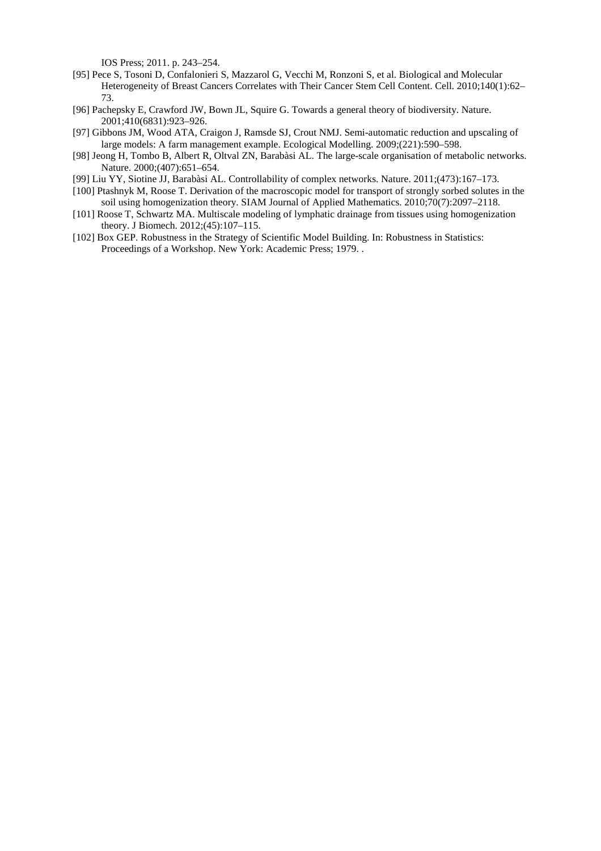IOS Press; 2011. p. 243–254.

- [95] Pece S, Tosoni D, Confalonieri S, Mazzarol G, Vecchi M, Ronzoni S, et al. Biological and Molecular Heterogeneity of Breast Cancers Correlates with Their Cancer Stem Cell Content. Cell. 2010;140(1):62– 73.
- [96] Pachepsky E, Crawford JW, Bown JL, Squire G. Towards a general theory of biodiversity. Nature. 2001;410(6831):923–926.
- [97] Gibbons JM, Wood ATA, Craigon J, Ramsde SJ, Crout NMJ. Semi-automatic reduction and upscaling of large models: A farm management example. Ecological Modelling. 2009;(221):590–598.
- [98] Jeong H, Tombo B, Albert R, Oltval ZN, Barabàsi AL. The large-scale organisation of metabolic networks. Nature. 2000;(407):651–654.
- [99] Liu YY, Siotine JJ, Barabàsi AL. Controllability of complex networks. Nature. 2011;(473):167–173.
- [100] Ptashnyk M, Roose T. Derivation of the macroscopic model for transport of strongly sorbed solutes in the soil using homogenization theory. SIAM Journal of Applied Mathematics. 2010;70(7):2097–2118.
- [101] Roose T, Schwartz MA. Multiscale modeling of lymphatic drainage from tissues using homogenization theory. J Biomech. 2012;(45):107–115.
- [102] Box GEP. Robustness in the Strategy of Scientific Model Building. In: Robustness in Statistics: Proceedings of a Workshop. New York: Academic Press; 1979. .